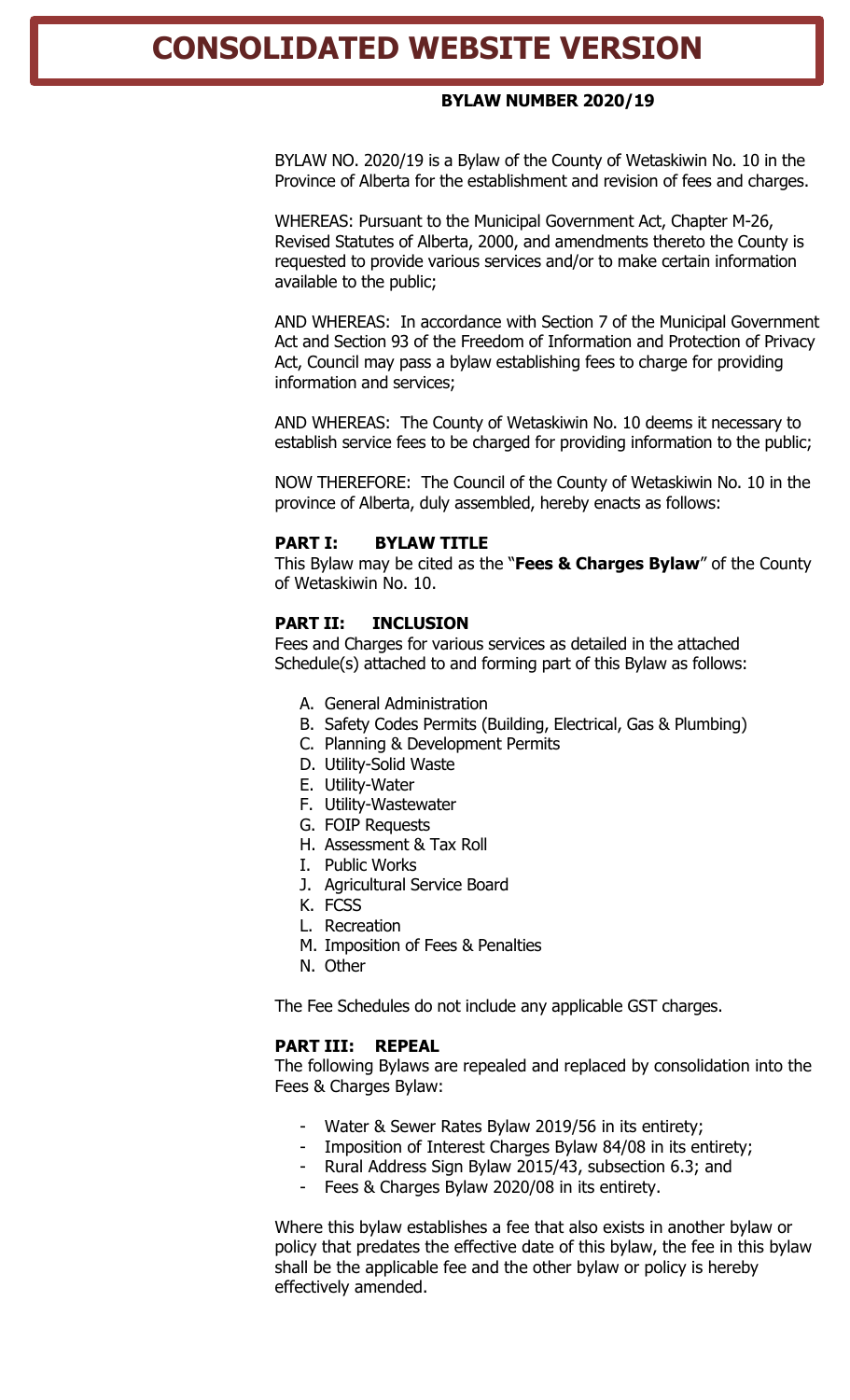# **CONSOLIDATED WEBSITE VERSION**

#### **BYLAW NUMBER 2020/19**

BYLAW NO. 2020/19 is a Bylaw of the County of Wetaskiwin No. 10 in the Province of Alberta for the establishment and revision of fees and charges.

WHEREAS: Pursuant to the Municipal Government Act, Chapter M-26, Revised Statutes of Alberta, 2000, and amendments thereto the County is requested to provide various services and/or to make certain information available to the public;

AND WHEREAS: In accordance with Section 7 of the Municipal Government Act and Section 93 of the Freedom of Information and Protection of Privacy Act, Council may pass a bylaw establishing fees to charge for providing information and services;

AND WHEREAS: The County of Wetaskiwin No. 10 deems it necessary to establish service fees to be charged for providing information to the public;

NOW THEREFORE: The Council of the County of Wetaskiwin No. 10 in the province of Alberta, duly assembled, hereby enacts as follows:

#### **PART I: BYLAW TITLE**

This Bylaw may be cited as the "**Fees & Charges Bylaw**" of the County of Wetaskiwin No. 10.

#### **PART II: INCLUSION**

Fees and Charges for various services as detailed in the attached Schedule(s) attached to and forming part of this Bylaw as follows:

- A. General Administration
- B. Safety Codes Permits (Building, Electrical, Gas & Plumbing)
- C. Planning & Development Permits
- D. Utility-Solid Waste
- E. Utility-Water
- F. Utility-Wastewater
- G. FOIP Requests
- H. Assessment & Tax Roll
- I. Public Works
- J. Agricultural Service Board
- K. FCSS
- L. Recreation
- M. Imposition of Fees & Penalties
- N. Other

The Fee Schedules do not include any applicable GST charges.

#### **PART III: REPEAL**

The following Bylaws are repealed and replaced by consolidation into the Fees & Charges Bylaw:

- Water & Sewer Rates Bylaw 2019/56 in its entirety;
- Imposition of Interest Charges Bylaw 84/08 in its entirety;
- Rural Address Sign Bylaw 2015/43, subsection 6.3; and
- Fees & Charges Bylaw 2020/08 in its entirety.

Where this bylaw establishes a fee that also exists in another bylaw or policy that predates the effective date of this bylaw, the fee in this bylaw shall be the applicable fee and the other bylaw or policy is hereby effectively amended.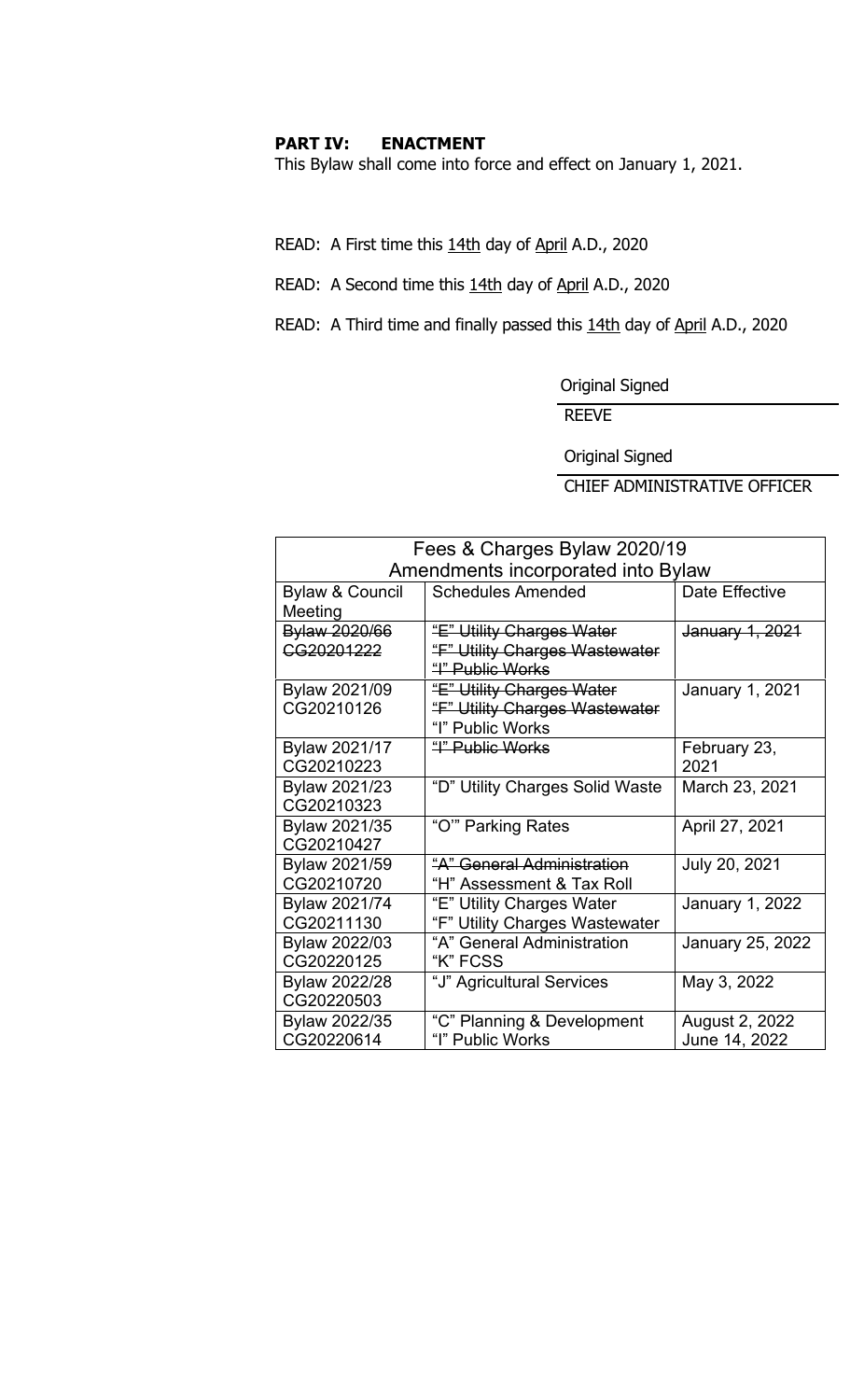#### **PART IV: ENACTMENT**

This Bylaw shall come into force and effect on January 1, 2021.

READ: A First time this 14th day of April A.D., 2020

READ: A Second time this 14th day of April A.D., 2020

READ: A Third time and finally passed this 14th day of April A.D., 2020

Original Signed

REEVE

Original Signed

CHIEF ADMINISTRATIVE OFFICER

| Fees & Charges Bylaw 2020/19 |                                    |                         |  |  |
|------------------------------|------------------------------------|-------------------------|--|--|
|                              | Amendments incorporated into Bylaw |                         |  |  |
| <b>Bylaw &amp; Council</b>   | <b>Schedules Amended</b>           | Date Effective          |  |  |
| Meeting                      |                                    |                         |  |  |
| Bylaw 2020/66                | "E" Utility Charges Water          | January 1, 2021         |  |  |
| CG20201222                   | "F" Utility Charges Wastewater     |                         |  |  |
|                              | "I" Public Works                   |                         |  |  |
| Bylaw 2021/09                | "E" Utility Charges Water          | January 1, 2021         |  |  |
| CG20210126                   | "F" Utility Charges Wastewater     |                         |  |  |
|                              | "I" Public Works                   |                         |  |  |
| Bylaw 2021/17                | <u> "I" Public Works</u>           | February 23,            |  |  |
| CG20210223                   |                                    | 2021                    |  |  |
| Bylaw 2021/23                | "D" Utility Charges Solid Waste    | March 23, 2021          |  |  |
| CG20210323                   |                                    |                         |  |  |
| Bylaw 2021/35                | "O" Parking Rates                  | April 27, 2021          |  |  |
| CG20210427                   |                                    |                         |  |  |
| Bylaw 2021/59                | "A" General Administration         | July 20, 2021           |  |  |
| CG20210720                   | "H" Assessment & Tax Roll          |                         |  |  |
| Bylaw 2021/74                | "E" Utility Charges Water          | January 1, 2022         |  |  |
| CG20211130                   | "F" Utility Charges Wastewater     |                         |  |  |
| <b>Bylaw 2022/03</b>         | "A" General Administration         | <b>January 25, 2022</b> |  |  |
| CG20220125                   | "K" FCSS                           |                         |  |  |
| <b>Bylaw 2022/28</b>         | "J" Agricultural Services          | May 3, 2022             |  |  |
| CG20220503                   |                                    |                         |  |  |
| Bylaw 2022/35                | "C" Planning & Development         | August 2, 2022          |  |  |
| CG20220614                   | "I" Public Works                   | June 14, 2022           |  |  |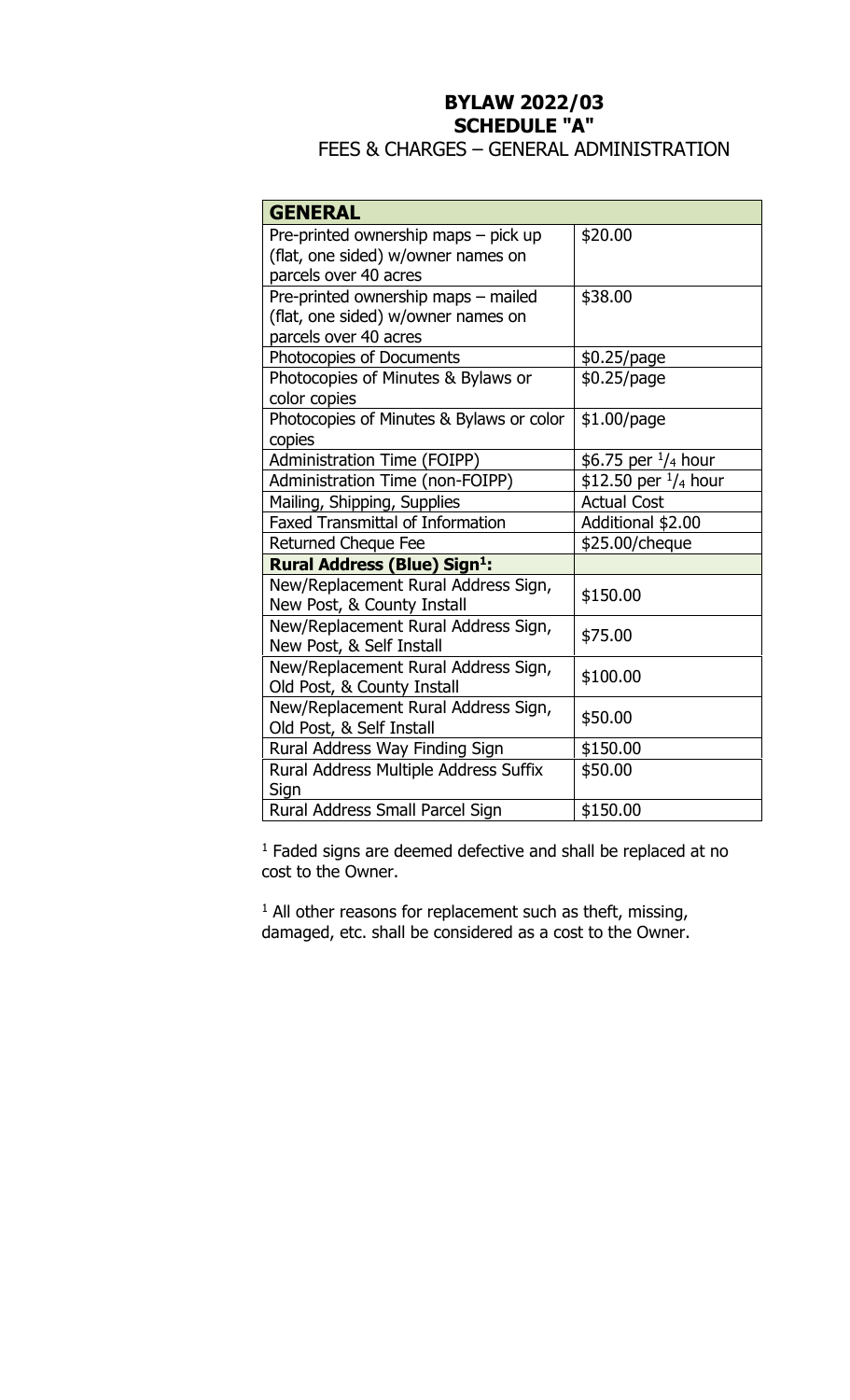# **BYLAW 2022/03 SCHEDULE "A"**

# FEES & CHARGES – GENERAL ADMINISTRATION

| <b>GENERAL</b>                                |                                |
|-----------------------------------------------|--------------------------------|
| Pre-printed ownership maps - pick up          | \$20.00                        |
| (flat, one sided) w/owner names on            |                                |
| parcels over 40 acres                         |                                |
| Pre-printed ownership maps - mailed           | \$38.00                        |
| (flat, one sided) w/owner names on            |                                |
| parcels over 40 acres                         |                                |
| Photocopies of Documents                      | \$0.25/page                    |
| Photocopies of Minutes & Bylaws or            | \$0.25/page                    |
| color copies                                  |                                |
| Photocopies of Minutes & Bylaws or color      | $$1.00$ /page                  |
| copies                                        |                                |
| Administration Time (FOIPP)                   | \$6.75 per $\frac{1}{4}$ hour  |
| Administration Time (non-FOIPP)               | \$12.50 per $\frac{1}{4}$ hour |
| Mailing, Shipping, Supplies                   | <b>Actual Cost</b>             |
| <b>Faxed Transmittal of Information</b>       | Additional \$2.00              |
| <b>Returned Cheque Fee</b>                    | \$25.00/cheque                 |
| <b>Rural Address (Blue) Sign<sup>1</sup>:</b> |                                |
| New/Replacement Rural Address Sign,           | \$150.00                       |
| New Post, & County Install                    |                                |
| New/Replacement Rural Address Sign,           | \$75.00                        |
| New Post, & Self Install                      |                                |
| New/Replacement Rural Address Sign,           | \$100.00                       |
| Old Post, & County Install                    |                                |
| New/Replacement Rural Address Sign,           | \$50.00                        |
| Old Post, & Self Install                      |                                |
| Rural Address Way Finding Sign                | \$150.00                       |
| Rural Address Multiple Address Suffix         | \$50.00                        |
| Sign                                          |                                |
| Rural Address Small Parcel Sign               | \$150.00                       |

1 Faded signs are deemed defective and shall be replaced at no cost to the Owner.

<sup>1</sup> All other reasons for replacement such as theft, missing, damaged, etc. shall be considered as a cost to the Owner.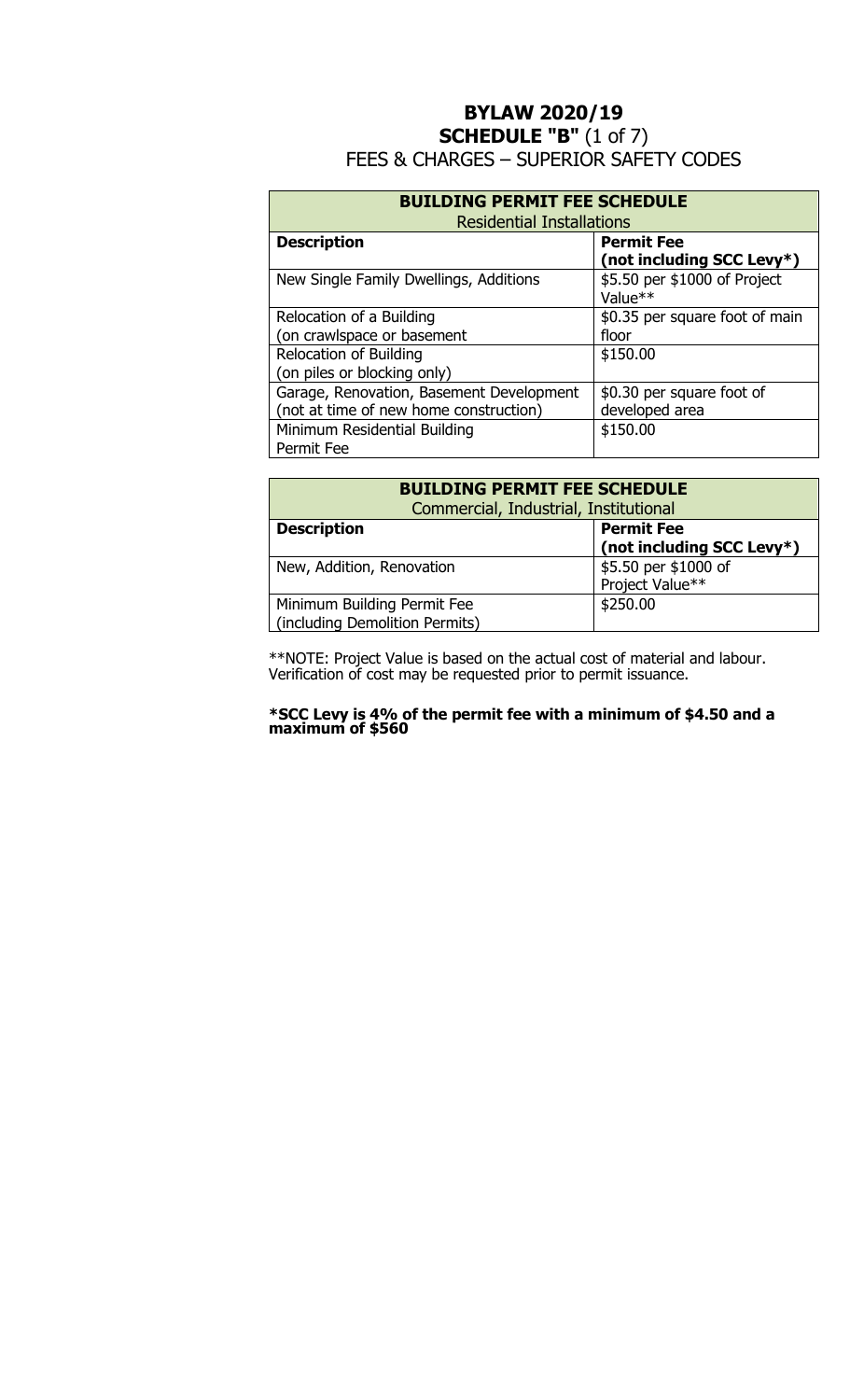## **BYLAW 2020/19 SCHEDULE "B"** (1 of 7) FEES & CHARGES – SUPERIOR SAFETY CODES

| <b>BUILDING PERMIT FEE SCHEDULE</b><br><b>Residential Installations</b> |                                                |  |  |
|-------------------------------------------------------------------------|------------------------------------------------|--|--|
| <b>Description</b>                                                      | <b>Permit Fee</b><br>(not including SCC Levy*) |  |  |
| New Single Family Dwellings, Additions                                  | \$5.50 per \$1000 of Project<br>Value**        |  |  |
| Relocation of a Building                                                | \$0.35 per square foot of main                 |  |  |
| on crawlspace or basement                                               | floor                                          |  |  |
| <b>Relocation of Building</b>                                           | \$150.00                                       |  |  |
| (on piles or blocking only)                                             |                                                |  |  |
| Garage, Renovation, Basement Development                                | \$0.30 per square foot of                      |  |  |
| (not at time of new home construction)                                  | developed area                                 |  |  |
| Minimum Residential Building                                            | \$150.00                                       |  |  |
| Permit Fee                                                              |                                                |  |  |

| <b>BUILDING PERMIT FEE SCHEDULE</b>                           |                                         |  |  |
|---------------------------------------------------------------|-----------------------------------------|--|--|
| Commercial, Industrial, Institutional                         |                                         |  |  |
| <b>Permit Fee</b><br><b>Description</b>                       |                                         |  |  |
|                                                               | (not including SCC Levy*)               |  |  |
| New, Addition, Renovation                                     | \$5.50 per \$1000 of<br>Project Value** |  |  |
|                                                               |                                         |  |  |
| Minimum Building Permit Fee<br>(including Demolition Permits) | \$250.00                                |  |  |

\*\*NOTE: Project Value is based on the actual cost of material and labour. Verification of cost may be requested prior to permit issuance.

#### **\*SCC Levy is 4% of the permit fee with a minimum of \$4.50 and a maximum of \$560**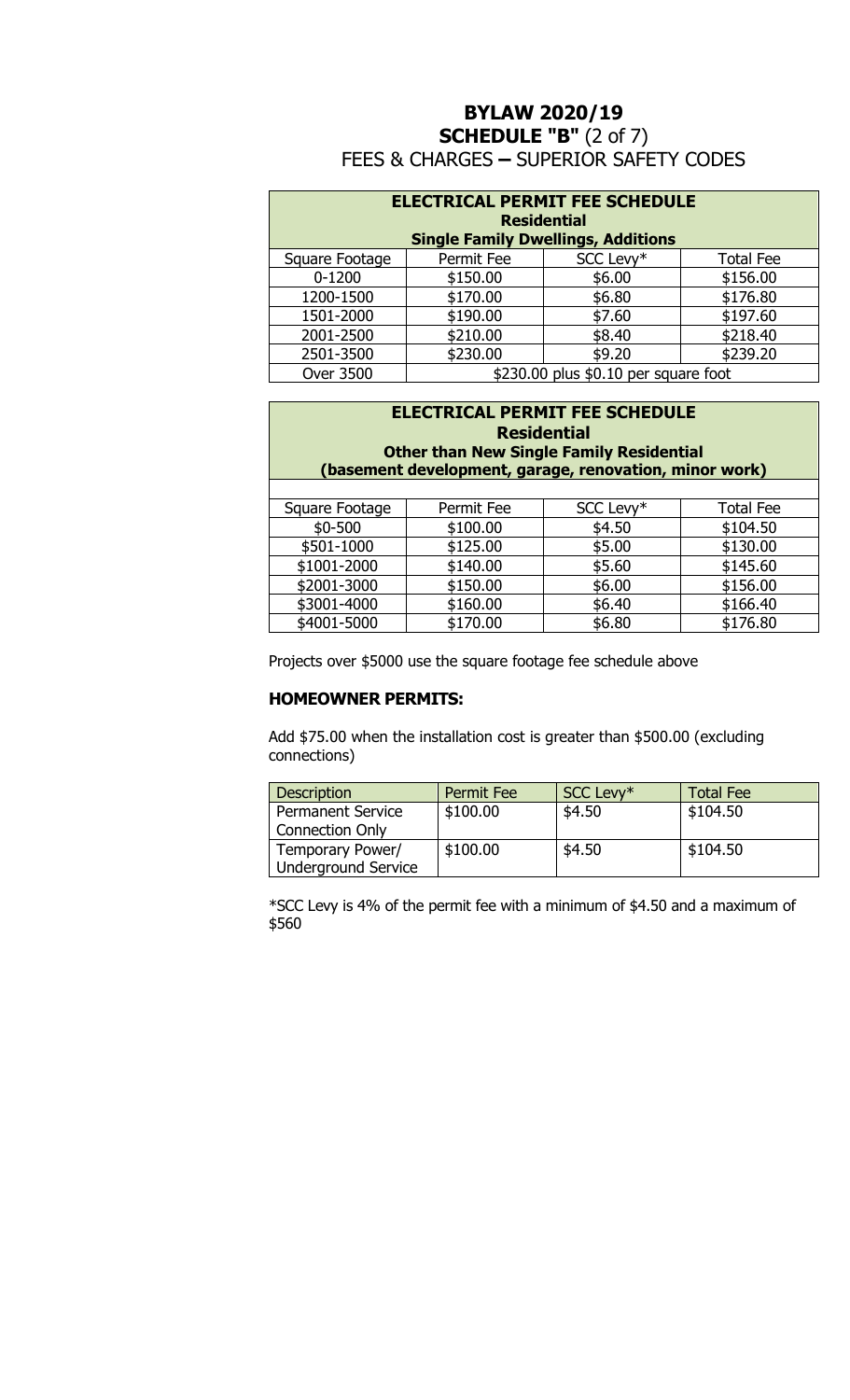### **BYLAW 2020/19 SCHEDULE "B"** (2 of 7) FEES & CHARGES **–** SUPERIOR SAFETY CODES

| <b>ELECTRICAL PERMIT FEE SCHEDULE</b><br><b>Residential</b><br><b>Single Family Dwellings, Additions</b> |            |           |                  |  |
|----------------------------------------------------------------------------------------------------------|------------|-----------|------------------|--|
| Square Footage                                                                                           | Permit Fee | SCC Levy* | <b>Total Fee</b> |  |
| $0 - 1200$                                                                                               | \$150.00   | \$6.00    | \$156.00         |  |
| 1200-1500                                                                                                | \$170.00   | \$6.80    | \$176.80         |  |
| 1501-2000                                                                                                | \$190.00   | \$7.60    | \$197.60         |  |
| 2001-2500                                                                                                | \$210.00   | \$8.40    | \$218.40         |  |
| 2501-3500                                                                                                | \$230.00   | \$9.20    | \$239.20         |  |
| \$230.00 plus \$0.10 per square foot<br><b>Over 3500</b>                                                 |            |           |                  |  |

### **ELECTRICAL PERMIT FEE SCHEDULE Residential Other than New Single Family Residential (basement development, garage, renovation, minor work)**

| Square Footage | Permit Fee | SCC Levy* | <b>Total Fee</b> |
|----------------|------------|-----------|------------------|
| $$0 - 500$     | \$100.00   | \$4.50    | \$104.50         |
| \$501-1000     | \$125.00   | \$5.00    | \$130.00         |
| \$1001-2000    | \$140.00   | \$5.60    | \$145.60         |
| \$2001-3000    | \$150.00   | \$6.00    | \$156.00         |
| \$3001-4000    | \$160.00   | \$6.40    | \$166.40         |
| \$4001-5000    | \$170.00   | \$6.80    | \$176.80         |

Projects over \$5000 use the square footage fee schedule above

#### **HOMEOWNER PERMITS:**

Add \$75.00 when the installation cost is greater than \$500.00 (excluding connections)

| <b>Description</b>         | Permit Fee | SCC Levy* | <b>Total Fee</b> |
|----------------------------|------------|-----------|------------------|
| <b>Permanent Service</b>   | \$100.00   | \$4.50    | \$104.50         |
| <b>Connection Only</b>     |            |           |                  |
| Temporary Power/           | \$100.00   | \$4.50    | \$104.50         |
| <b>Underground Service</b> |            |           |                  |

\*SCC Levy is 4% of the permit fee with a minimum of \$4.50 and a maximum of \$560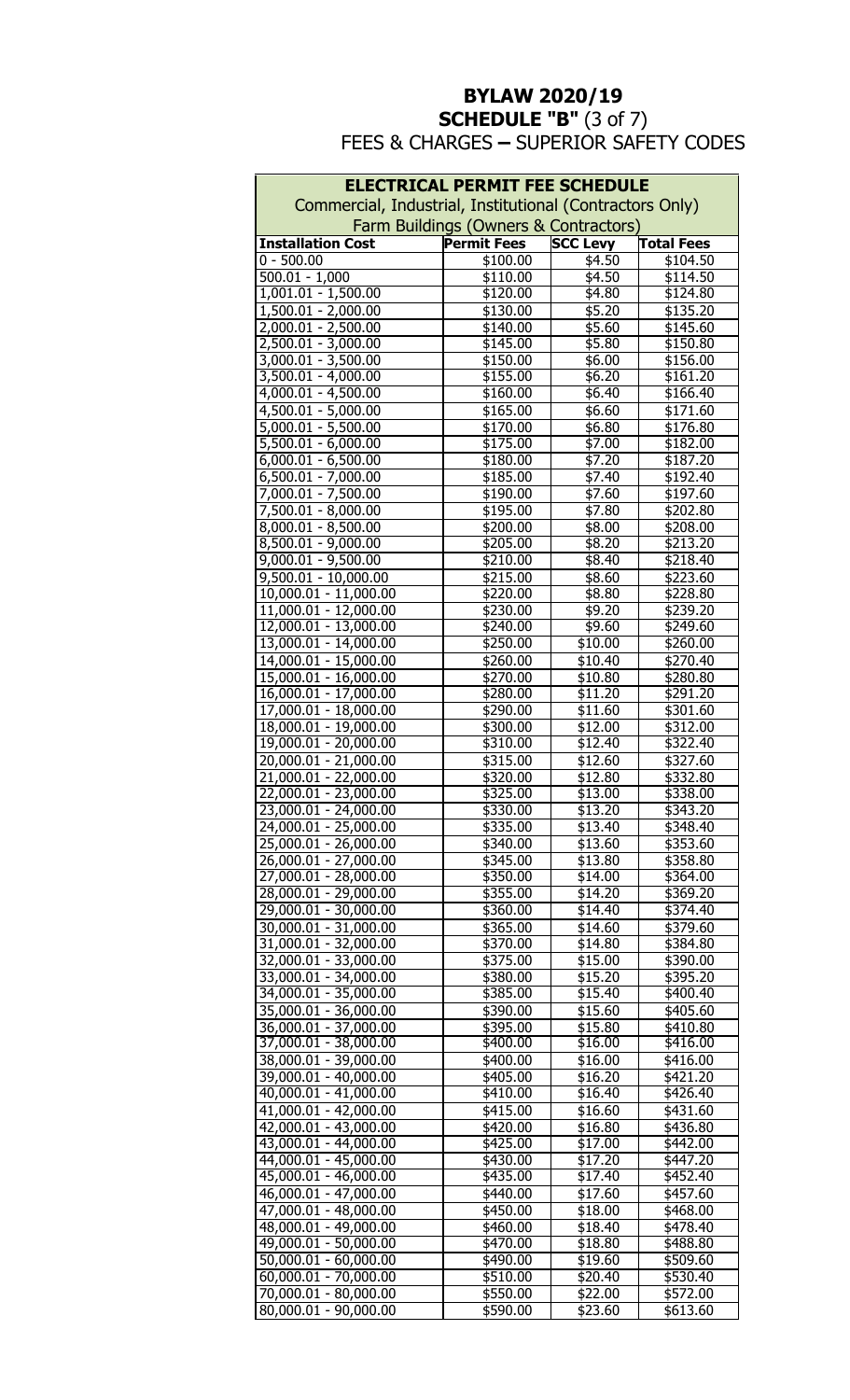# **BYLAW 2020/19 SCHEDULE "B"** (3 of 7)

FEES & CHARGES **–** SUPERIOR SAFETY CODES

| <b>ELECTRICAL PERMIT FEE SCHEDULE</b>                    |                                       |                    |                      |  |  |
|----------------------------------------------------------|---------------------------------------|--------------------|----------------------|--|--|
| Commercial, Industrial, Institutional (Contractors Only) |                                       |                    |                      |  |  |
|                                                          | Farm Buildings (Owners & Contractors) |                    |                      |  |  |
| <b>Installation Cost</b>                                 | <b>Permit Fees</b>                    | <b>SCC Levy</b>    | <b>Total Fees</b>    |  |  |
| $0 - 500.00$<br>$500.01 - 1,000$                         | \$100.00                              | \$4.50             | \$104.50             |  |  |
| $1,001.01 - 1,500.00$                                    | \$110.00<br>\$120.00                  | \$4.50<br>\$4.80   | \$114.50<br>\$124.80 |  |  |
| $1,500.01 - 2,000.00$                                    | \$130.00                              | \$5.20             | \$135.20             |  |  |
| $2,000.01 - 2,500.00$                                    | \$140.00                              | \$5.60             | \$145.60             |  |  |
| $2,500.01 - 3,000.00$                                    | \$145.00                              | \$5.80             | \$150.80             |  |  |
| $3,000.01 - 3,500.00$                                    | \$150.00                              | \$6.00             | \$156.00             |  |  |
| $3,500.01 - 4,000.00$                                    | \$155.00                              | \$6.20             | \$161.20             |  |  |
| $4,000.01 - 4,500.00$                                    | \$160.00                              | \$6.40             | \$166.40             |  |  |
| $4,500.01 - 5,000.00$                                    | \$165.00                              | \$6.60             | \$171.60             |  |  |
| $5,000.01 - 5,500.00$                                    | \$170.00                              | \$6.80             | \$176.80             |  |  |
| $5,500.01 - 6,000.00$<br>$6,000.01 - 6,500.00$           | \$175.00<br>\$180.00                  | \$7.00<br>\$7.20   | \$182.00<br>\$187.20 |  |  |
| $6,500.01 - 7,000.00$                                    | \$185.00                              | \$7.40             | \$192.40             |  |  |
| 7,000.01 - 7,500.00                                      | \$190.00                              | \$7.60             | \$197.60             |  |  |
| 7,500.01 - 8,000.00                                      | \$195.00                              | \$7.80             | \$202.80             |  |  |
| $8,000.01 - 8,500.00$                                    | \$200.00                              | \$8.00             | \$208.00             |  |  |
| $8,500.01 - 9,000.00$                                    | \$205.00                              | \$8.20             | \$213.20             |  |  |
| $9,000.01 - 9,500.00$                                    | \$210.00                              | \$8.40             | \$218.40             |  |  |
| $9,500.01 - 10,000.00$                                   | \$215.00                              | \$8.60             | \$223.60             |  |  |
| $10,000.01 - 11,000.00$                                  | \$220.00                              | \$8.80             | \$228.80             |  |  |
| $11,000.01 - 12,000.00$                                  | \$230.00                              | \$9.20             | \$239.20             |  |  |
| 12,000.01 - 13,000.00<br>$13,000.01 - 14,000.00$         | \$240.00<br>\$250.00                  | \$9.60<br>\$10.00  | \$249.60<br>\$260.00 |  |  |
| 14,000.01 - 15,000.00                                    | \$260.00                              | \$10.40            | \$270.40             |  |  |
| 15,000.01 - 16,000.00                                    | \$270.00                              | \$10.80            | \$280.80             |  |  |
| 16,000.01 - 17,000.00                                    | \$280.00                              | \$11.20            | \$291.20             |  |  |
| 17,000.01 - 18,000.00                                    | \$290.00                              | \$11.60            | \$301.60             |  |  |
| 18,000.01 - 19,000.00                                    | \$300.00                              | \$12.00            | \$312.00             |  |  |
| 19,000.01 - 20,000.00                                    | $\overline{$}310.00$                  | \$12.40            | \$322.40             |  |  |
| 20,000.01 - 21,000.00                                    | \$315.00                              | \$12.60            | \$327.60             |  |  |
| $21,000.01 - 22,000.00$                                  | \$320.00                              | \$12.80            | \$332.80             |  |  |
| 22,000.01 - 23,000.00<br>23,000.01 - 24,000.00           | \$325.00<br>\$330.00                  | \$13.00<br>\$13.20 | \$338.00<br>\$343.20 |  |  |
| 24,000.01 - 25,000.00                                    | \$335.00                              | \$13.40            | $\overline{$}348.40$ |  |  |
| 25,000.01 - 26,000.00                                    | \$340.00                              | \$13.60            | \$353.60             |  |  |
| 26,000.01 - 27,000.00                                    | \$345.00                              | \$13.80            | \$358.80             |  |  |
| 27,000.01 - 28,000.00                                    | \$350.00                              | \$14.00            | \$364.00             |  |  |
| 28,000.01 - 29,000.00                                    | \$355.00                              | \$14.20            | \$369.20             |  |  |
| 29,000.01 - 30,000.00                                    | \$360.00                              | \$14.40            | \$374.40             |  |  |
| 30,000.01 - 31,000.00                                    | \$365.00                              | \$14.60            | \$379.60             |  |  |
| 31,000.01 - 32,000.00<br>32,000.01 - 33,000.00           | \$370.00<br>\$375.00                  | \$14.80<br>\$15.00 | \$384.80<br>\$390.00 |  |  |
| 33,000.01 - 34,000.00                                    | \$380.00                              | \$15.20            | \$395.20             |  |  |
| 34,000.01 - 35,000.00                                    | \$385.00                              | \$15.40            | \$400.40             |  |  |
| 35,000.01 - 36,000.00                                    | \$390.00                              | \$15.60            | \$405.60             |  |  |
| 36,000.01 - 37,000.00                                    | \$395.00                              | \$15.80            | \$410.80             |  |  |
| 37,000.01 - 38,000.00                                    | \$400.00                              | \$16.00            | \$416.00             |  |  |
| 38,000.01 - 39,000.00                                    | \$400.00                              | \$16.00            | \$416.00             |  |  |
| 39,000.01 - 40,000.00                                    | \$405.00                              | \$16.20            | \$421.20             |  |  |
| $40,000.01 - 41,000.00$<br>41,000.01 - 42,000.00         | \$410.00<br>\$415.00                  | \$16.40<br>\$16.60 | \$426.40<br>\$431.60 |  |  |
| 42,000.01 - 43,000.00                                    | \$420.00                              | \$16.80            | \$436.80             |  |  |
| 43,000.01 - 44,000.00                                    | \$425.00                              | \$17.00            | \$442.00             |  |  |
| 44,000.01 - 45,000.00                                    | \$430.00                              | \$17.20            | \$447.20             |  |  |
| 45,000.01 - 46,000.00                                    | \$435.00                              | \$17.40            | \$452.40             |  |  |
| 46,000.01 - 47,000.00                                    | \$440.00                              | \$17.60            | \$457.60             |  |  |
| 47,000.01 - 48,000.00                                    | \$450.00                              | \$18.00            | \$468.00             |  |  |
| 48,000.01 - 49,000.00                                    | \$460.00                              | \$18.40            | \$478.40             |  |  |
| 49,000.01 - 50,000.00                                    | \$470.00                              | \$18.80            | \$488.80             |  |  |
| 50,000.01 - 60,000.00<br>60,000.01 - 70,000.00           | \$490.00<br>$\overline{$}510.00$      | \$19.60<br>\$20.40 | \$509.60<br>\$530.40 |  |  |
| 70,000.01 - 80,000.00                                    | \$550.00                              | \$22.00            | \$572.00             |  |  |
| 80,000.01 - 90,000.00                                    | \$590.00                              | \$23.60            | \$613.60             |  |  |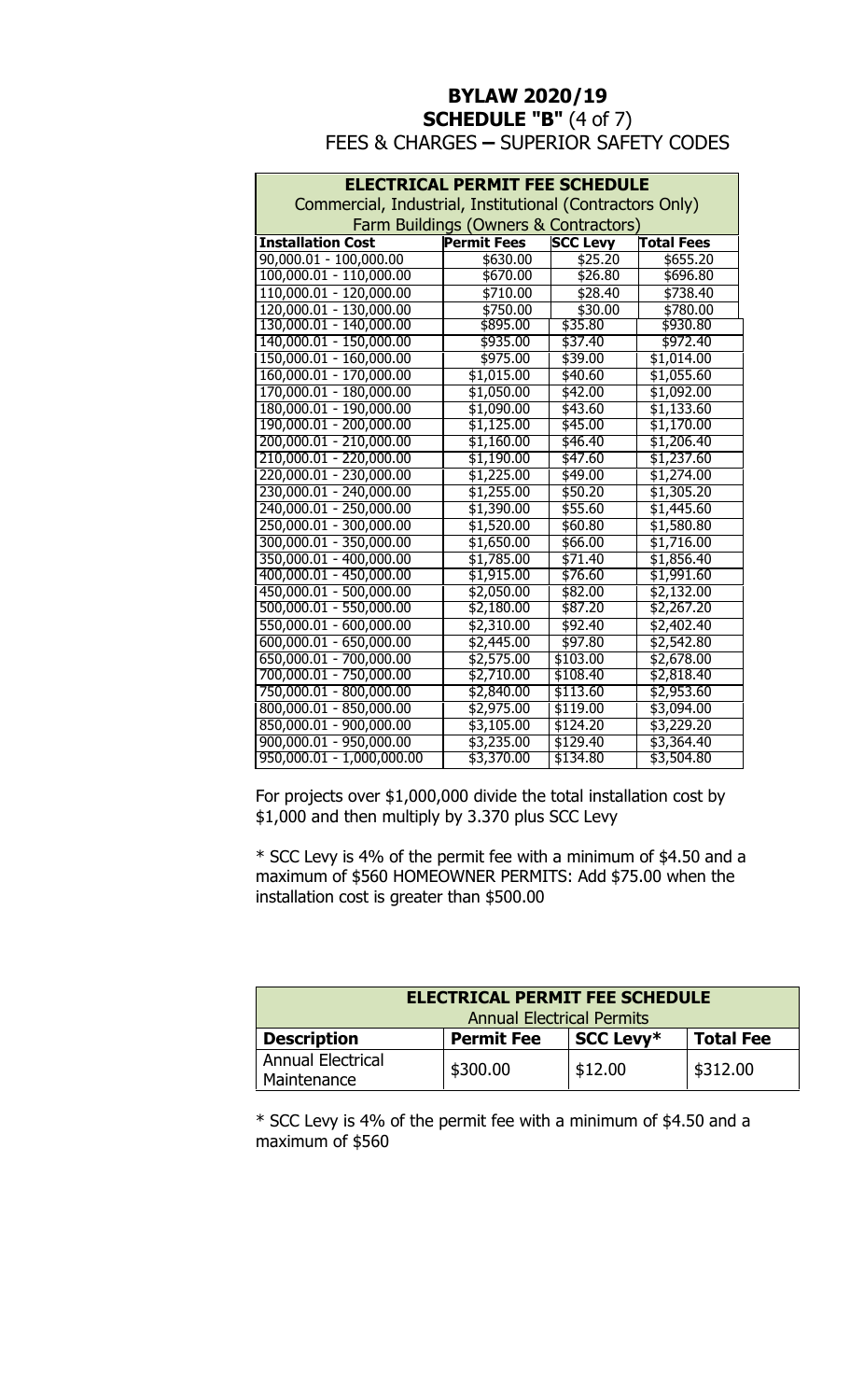### **BYLAW 2020/19 SCHEDULE "B" (4 of 7)** FEES & CHARGES **–** SUPERIOR SAFETY CODES

| <b>ELECTRICAL PERMIT FEE SCHEDULE</b>                    |                    |                 |                   |  |  |
|----------------------------------------------------------|--------------------|-----------------|-------------------|--|--|
| Commercial, Industrial, Institutional (Contractors Only) |                    |                 |                   |  |  |
| Farm Buildings (Owners & Contractors)                    |                    |                 |                   |  |  |
| <b>Installation Cost</b>                                 | <b>Permit Fees</b> | <b>SCC Levy</b> | <b>Total Fees</b> |  |  |
| 90,000.01 - 100,000.00                                   | \$630.00           | \$25.20         | \$655.20          |  |  |
| $100,000.01 - 110,000.00$                                | \$670.00           | \$26.80         | \$696.80          |  |  |
| 110,000.01 - 120,000.00                                  | \$710.00           | \$28.40         | \$738.40          |  |  |
| 120,000.01 - 130,000.00                                  | \$750.00           | \$30.00         | \$780.00          |  |  |
| 130,000.01 - 140,000.00                                  | \$895.00           | \$35.80         | \$930.80          |  |  |
| 140,000.01 - 150,000.00                                  | \$935.00           | \$37.40         | \$972.40          |  |  |
| 150,000.01 - 160,000.00                                  | \$975.00           | \$39.00         | \$1,014.00        |  |  |
| 160,000.01 - 170,000.00                                  | \$1,015.00         | \$40.60         | \$1,055.60        |  |  |
| 170,000.01 - 180,000.00                                  | \$1,050.00         | \$42.00         | \$1,092.00        |  |  |
| 180,000.01 - 190,000.00                                  | \$1,090.00         | \$43.60         | \$1,133.60        |  |  |
| 190,000.01 - 200,000.00                                  | \$1,125.00         | \$45.00         | \$1,170.00        |  |  |
| 200,000.01 - 210,000.00                                  | \$1,160.00         | \$46.40         | \$1,206.40        |  |  |
| 210,000.01 - 220,000.00                                  | \$1,190.00         | \$47.60         | \$1,237.60        |  |  |
| 220,000.01 - 230,000.00                                  | \$1,225.00         | \$49.00         | \$1,274.00        |  |  |
| 230,000.01 - 240,000.00                                  | \$1,255.00         | \$50.20         | \$1,305.20        |  |  |
| 240,000.01 - 250,000.00                                  | \$1,390.00         | \$55.60         | \$1,445.60        |  |  |
| 250,000.01 - 300,000.00                                  | \$1,520.00         | \$60.80         | \$1,580.80        |  |  |
| 300,000.01 - 350,000.00                                  | \$1,650.00         | \$66.00         | \$1,716.00        |  |  |
| 350,000.01 - 400,000.00                                  | \$1,785.00         | \$71.40         | \$1,856.40        |  |  |
| 400,000.01 - 450,000.00                                  | \$1,915.00         | \$76.60         | \$1,991.60        |  |  |
| 450,000.01 - 500,000.00                                  | \$2,050.00         | \$82.00         | \$2,132.00        |  |  |
| 500,000.01 - 550,000.00                                  | \$2,180.00         | \$87.20         | \$2,267.20        |  |  |
| 550,000.01 - 600,000.00                                  | \$2,310.00         | \$92.40         | \$2,402.40        |  |  |
| 600,000.01 - 650,000.00                                  | \$2,445.00         | \$97.80         | \$2,542.80        |  |  |
| 650,000.01 - 700,000.00                                  | \$2,575.00         | \$103.00        | \$2,678.00        |  |  |
| 700,000.01 - 750,000.00                                  | \$2,710.00         | \$108.40        | \$2,818.40        |  |  |
| 750,000.01 - 800,000.00                                  | \$2,840.00         | \$113.60        | \$2,953.60        |  |  |
| 800,000.01 - 850,000.00                                  | \$2,975.00         | \$119.00        | \$3,094.00        |  |  |
| 850,000.01 - 900,000.00                                  | \$3,105.00         | \$124.20        | \$3,229.20        |  |  |
| 900,000.01 - 950,000.00                                  | \$3,235.00         | \$129.40        | \$3,364.40        |  |  |
| 950,000.01 - 1,000,000.00                                | \$3,370.00         | \$134.80        | \$3,504.80        |  |  |

For projects over \$1,000,000 divide the total installation cost by \$1,000 and then multiply by 3.370 plus SCC Levy

\* SCC Levy is 4% of the permit fee with a minimum of \$4.50 and a maximum of \$560 HOMEOWNER PERMITS: Add \$75.00 when the installation cost is greater than \$500.00

| <b>ELECTRICAL PERMIT FEE SCHEDULE</b><br><b>Annual Electrical Permits</b>       |          |         |          |  |  |
|---------------------------------------------------------------------------------|----------|---------|----------|--|--|
| <b>Description</b><br><b>Permit Fee</b><br><b>Total Fee</b><br><b>SCC Levy*</b> |          |         |          |  |  |
| <b>Annual Electrical</b><br>Maintenance                                         | \$300.00 | \$12.00 | \$312.00 |  |  |

\* SCC Levy is 4% of the permit fee with a minimum of \$4.50 and a maximum of \$560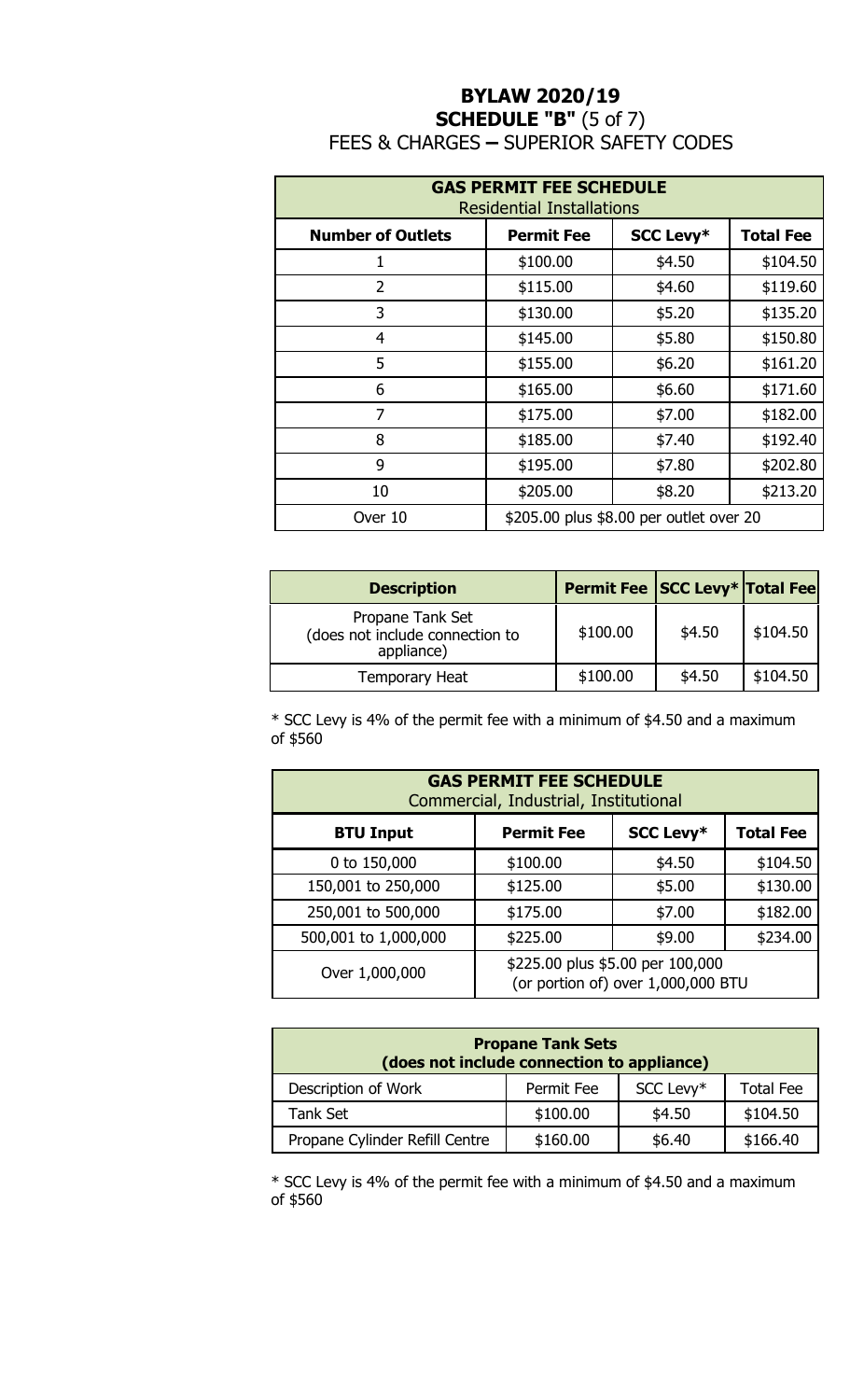# **BYLAW 2020/19 SCHEDULE "B"** (5 of 7) FEES & CHARGES **–** SUPERIOR SAFETY CODES

| <b>GAS PERMIT FEE SCHEDULE</b><br><b>Residential Installations</b> |                   |                  |                  |  |
|--------------------------------------------------------------------|-------------------|------------------|------------------|--|
| <b>Number of Outlets</b>                                           | <b>Permit Fee</b> | <b>SCC Levy*</b> | <b>Total Fee</b> |  |
| 1                                                                  | \$100.00          | \$4.50           | \$104.50         |  |
| $\overline{2}$                                                     | \$115.00          | \$4.60           | \$119.60         |  |
| 3                                                                  | \$130.00          | \$5.20           | \$135.20         |  |
| $\overline{4}$                                                     | \$145.00          | \$5.80           | \$150.80         |  |
| 5                                                                  | \$155.00          | \$6.20           | \$161.20         |  |
| 6                                                                  | \$165.00          | \$6.60           | \$171.60         |  |
| $\overline{7}$                                                     | \$175.00          | \$7.00           | \$182.00         |  |
| 8                                                                  | \$185.00          | \$7.40           | \$192.40         |  |
| 9                                                                  | \$195.00          | \$7.80           | \$202.80         |  |
| 10                                                                 | \$205.00          | \$8.20           | \$213.20         |  |
| \$205.00 plus \$8.00 per outlet over 20<br>Over 10                 |                   |                  |                  |  |

| <b>Description</b>                                                | Permit Fee SCC Levy* Total Fee |        |          |
|-------------------------------------------------------------------|--------------------------------|--------|----------|
| Propane Tank Set<br>(does not include connection to<br>appliance) | \$100.00                       | \$4.50 | \$104.50 |
| <b>Temporary Heat</b>                                             | \$100.00                       | \$4.50 | \$104.50 |

\* SCC Levy is 4% of the permit fee with a minimum of \$4.50 and a maximum of \$560

|                      | <b>GAS PERMIT FEE SCHEDULE</b><br>Commercial, Industrial, Institutional |                                                                        |                  |
|----------------------|-------------------------------------------------------------------------|------------------------------------------------------------------------|------------------|
| <b>BTU Input</b>     | <b>Permit Fee</b>                                                       | <b>SCC Levy*</b>                                                       | <b>Total Fee</b> |
| 0 to 150,000         | \$100.00                                                                | \$4.50                                                                 | \$104.50         |
| 150,001 to 250,000   | \$125.00                                                                | \$5.00                                                                 | \$130.00         |
| 250,001 to 500,000   | \$175.00                                                                | \$7.00                                                                 | \$182.00         |
| 500,001 to 1,000,000 | \$225.00                                                                | \$9.00                                                                 | \$234.00         |
| Over 1,000,000       |                                                                         | \$225.00 plus \$5.00 per 100,000<br>(or portion of) over 1,000,000 BTU |                  |

| <b>Propane Tank Sets</b><br>(does not include connection to appliance) |            |           |                  |
|------------------------------------------------------------------------|------------|-----------|------------------|
| Description of Work                                                    | Permit Fee | SCC Levy* | <b>Total Fee</b> |
| Tank Set                                                               | \$100.00   | \$4.50    | \$104.50         |
| Propane Cylinder Refill Centre                                         | \$160.00   | \$6.40    | \$166.40         |

\* SCC Levy is 4% of the permit fee with a minimum of \$4.50 and a maximum of \$560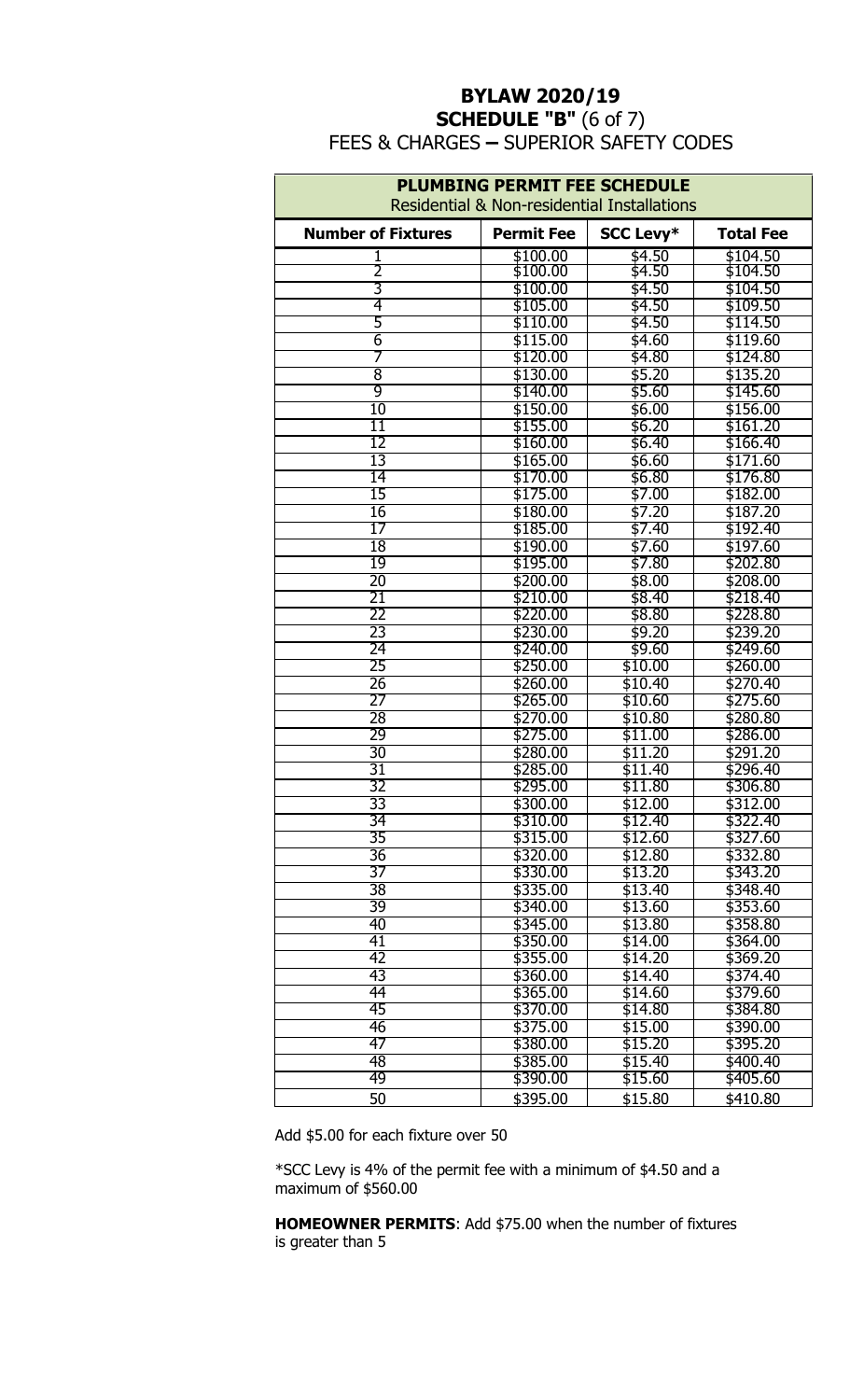## **BYLAW 2020/19 SCHEDULE "B"** (6 of 7) FEES & CHARGES **–** SUPERIOR SAFETY CODES

| <b>PLUMBING PERMIT FEE SCHEDULE</b> |                                                        |                  |                  |
|-------------------------------------|--------------------------------------------------------|------------------|------------------|
|                                     | <b>Residential &amp; Non-residential Installations</b> |                  |                  |
| <b>Number of Fixtures</b>           | <b>Permit Fee</b>                                      | <b>SCC Levy*</b> | <b>Total Fee</b> |
|                                     | \$100.00                                               | \$4.50           | \$104.50         |
| 2                                   | \$100.00                                               | \$4.50           | \$104.50         |
| 3                                   | \$100.00                                               | \$4.50           | \$104.50         |
| 4                                   | \$105.00                                               | \$4.50           | \$109.50         |
| 5                                   | \$110.00                                               | \$4.50           | \$114.50         |
| 6                                   | \$115.00                                               | \$4.60           | \$119.60         |
| 7                                   | \$120.00                                               | \$4.80           | \$124.80         |
| 8                                   | \$130.00                                               | \$5.20           | \$135.20         |
| 9                                   | \$140.00                                               | \$5.60           | \$145.60         |
| 10                                  | \$150.00                                               | \$6.00           | \$156.00         |
| 11                                  | \$155.00                                               | \$6.20           | \$161.20         |
| $\overline{12}$                     | \$160.00                                               | \$6.40           | \$166.40         |
| 13                                  | \$165.00                                               | \$6.60           | \$171.60         |
| 14                                  | \$170.00                                               | \$6.80           | \$176.80         |
| 15                                  | \$175.00                                               | \$7.00           | \$182.00         |
| 16                                  | \$180.00                                               | \$7.20           | \$187.20         |
| 17                                  | \$185.00                                               | \$7.40           | \$192.40         |
| 18                                  | \$190.00                                               | \$7.60           | \$197.60         |
| 19                                  | \$195.00                                               | \$7.80           | \$202.80         |
| $\overline{20}$                     | \$200.00                                               | \$8.00           | \$208.00         |
| 21                                  | \$210.00                                               | \$8.40           | \$218.40         |
| 22                                  | \$220.00                                               | \$8.80           | \$228.80         |
| 23                                  | \$230.00                                               | \$9.20           | \$239.20         |
| 24                                  | \$240.00                                               | \$9.60           | \$249.60         |
| 25                                  | \$250.00                                               | \$10.00          | \$260.00         |
| 26                                  | \$260.00                                               | \$10.40          | \$270.40         |
| 27                                  | \$265.00                                               | \$10.60          | \$275.60         |
| 28                                  | \$270.00                                               | \$10.80          | \$280.80         |
| 29                                  | \$275.00                                               | \$11.00          | \$286.00         |
| 30                                  | \$280.00                                               | \$11.20          | \$291.20         |
| 31                                  | \$285.00                                               | \$11.40          | \$296.40         |
| 32                                  | \$295.00                                               | \$11.80          | \$306.80         |
| 33                                  | \$300.00                                               | \$12.00          | \$312.00         |
| 34                                  | \$310.00                                               | \$12.40          | \$322.40         |
| 35                                  | \$315.00                                               | \$12.60          | \$327.60         |
| $\overline{36}$                     | \$320.00                                               | \$12.80          | \$332.80         |
| 37                                  | \$330.00                                               | \$13.20          | \$343.20         |
| 38                                  | \$335.00                                               | \$13.40          | \$348.40         |
| 39                                  | \$340.00                                               | \$13.60          | \$353.60         |
| 40                                  | \$345.00                                               | \$13.80          | \$358.80         |
| 41                                  | \$350.00                                               | \$14.00          | \$364.00         |
| 42                                  | \$355.00                                               | \$14.20          | \$369.20         |
| 43                                  | \$360.00                                               | \$14.40          | \$374.40         |
| 44                                  | \$365.00                                               | \$14.60          | \$379.60         |
| 45                                  | \$370.00                                               | \$14.80          | \$384.80         |
| 46                                  | \$375.00                                               | \$15.00          | \$390.00         |
| 47                                  | \$380.00                                               | \$15.20          | \$395.20         |
| 48                                  | \$385.00                                               | \$15.40          | \$400.40         |
| 49                                  | \$390.00                                               | \$15.60          | \$405.60         |
| 50                                  | \$395.00                                               | \$15.80          | \$410.80         |

Add \$5.00 for each fixture over 50

\*SCC Levy is 4% of the permit fee with a minimum of \$4.50 and a maximum of \$560.00

**HOMEOWNER PERMITS**: Add \$75.00 when the number of fixtures is greater than 5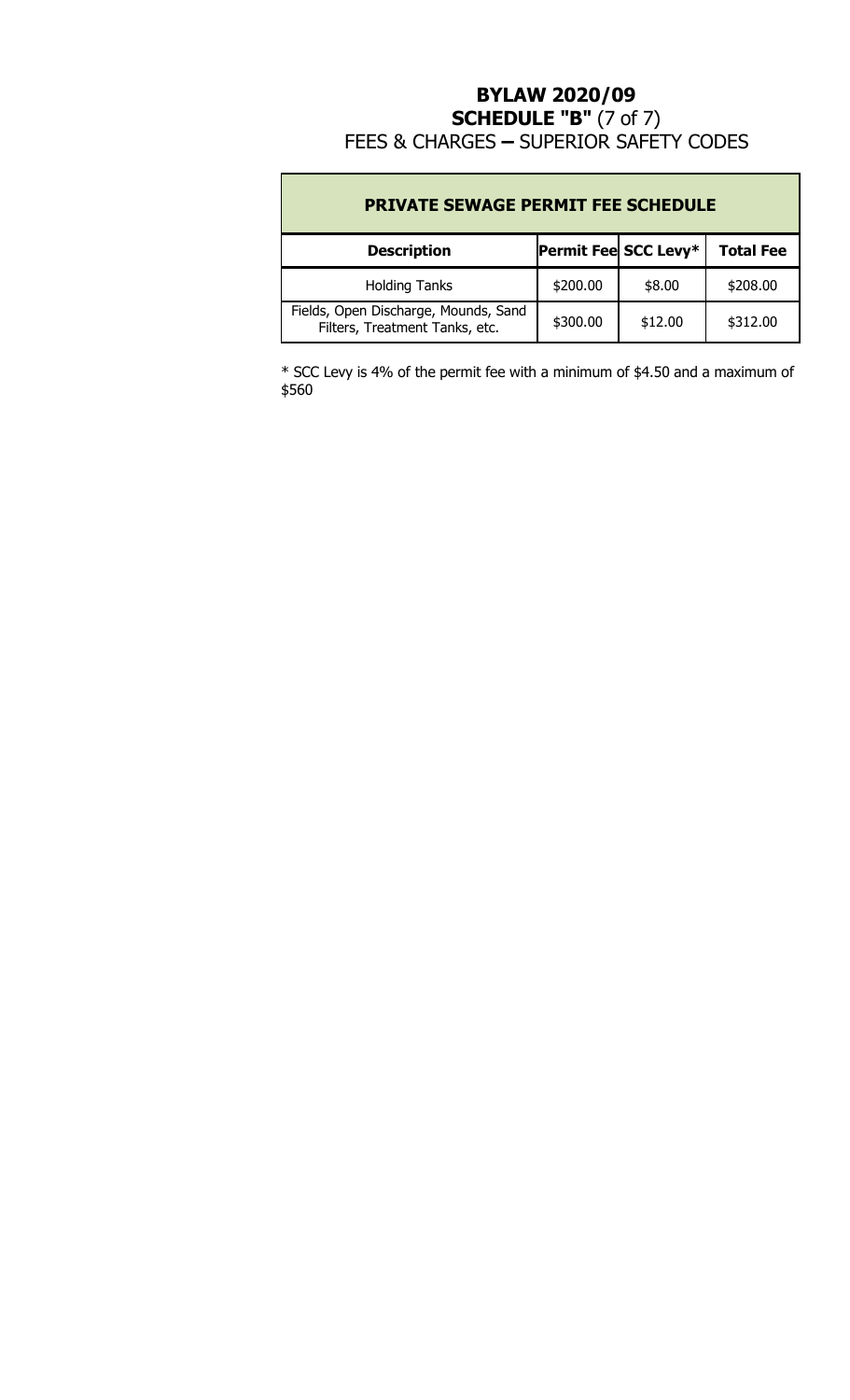## **BYLAW 2020/09 SCHEDULE "B"** (7 of 7) FEES & CHARGES **–** SUPERIOR SAFETY CODES

| <b>PRIVATE SEWAGE PERMIT FEE SCHEDULE</b>                              |          |                      |                  |
|------------------------------------------------------------------------|----------|----------------------|------------------|
| <b>Description</b>                                                     |          | Permit Fee SCC Levy* | <b>Total Fee</b> |
| <b>Holding Tanks</b>                                                   | \$200.00 | \$8.00               | \$208.00         |
| Fields, Open Discharge, Mounds, Sand<br>Filters, Treatment Tanks, etc. | \$300.00 | \$12.00              | \$312.00         |

\* SCC Levy is 4% of the permit fee with a minimum of \$4.50 and a maximum of \$560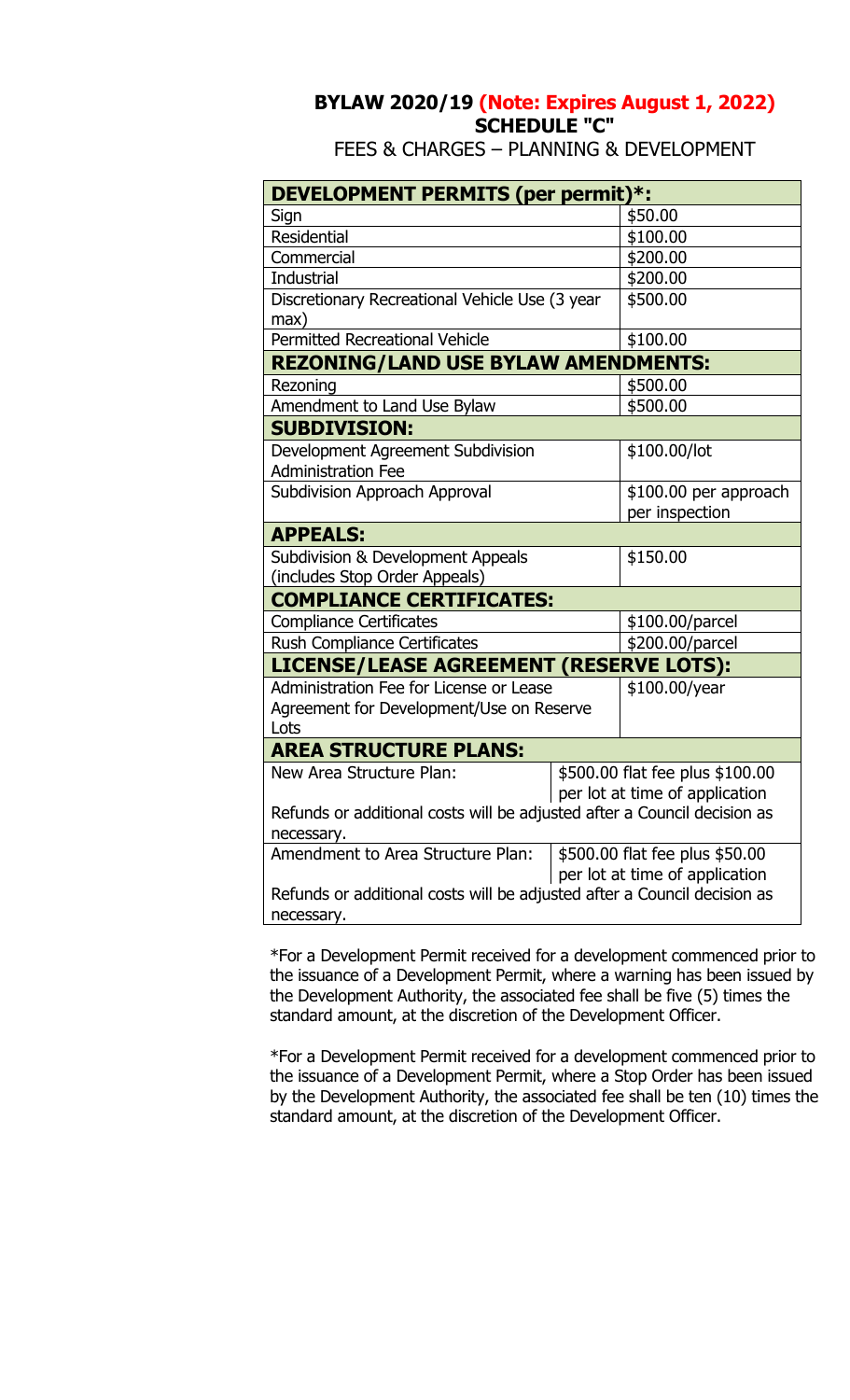# **BYLAW 2020/19 (Note: Expires August 1, 2022) SCHEDULE "C"**

FEES & CHARGES – PLANNING & DEVELOPMENT

| DEVELOPMENT PERMITS (per permit)*:                                                                    |  |                                         |
|-------------------------------------------------------------------------------------------------------|--|-----------------------------------------|
| Sign                                                                                                  |  | \$50.00                                 |
| <b>Residential</b>                                                                                    |  | \$100.00                                |
| Commercial                                                                                            |  | \$200.00                                |
| <b>Industrial</b>                                                                                     |  | \$200.00                                |
| Discretionary Recreational Vehicle Use (3 year<br>max)                                                |  | \$500.00                                |
| <b>Permitted Recreational Vehicle</b>                                                                 |  | \$100.00                                |
| <b>REZONING/LAND USE BYLAW AMENDMENTS:</b>                                                            |  |                                         |
| Rezoning                                                                                              |  | \$500.00                                |
| Amendment to Land Use Bylaw                                                                           |  | \$500.00                                |
| <b>SUBDIVISION:</b>                                                                                   |  |                                         |
| Development Agreement Subdivision<br><b>Administration Fee</b>                                        |  | \$100.00/lot                            |
| <b>Subdivision Approach Approval</b>                                                                  |  | \$100.00 per approach<br>per inspection |
| <b>APPEALS:</b>                                                                                       |  |                                         |
| Subdivision & Development Appeals<br>(includes Stop Order Appeals)                                    |  | \$150.00                                |
| <b>COMPLIANCE CERTIFICATES:</b>                                                                       |  |                                         |
| <b>Compliance Certificates</b>                                                                        |  | \$100.00/parcel                         |
| Rush Compliance Certificates                                                                          |  | \$200.00/parcel                         |
| LICENSE/LEASE AGREEMENT (RESERVE LOTS):                                                               |  |                                         |
| Administration Fee for License or Lease<br>Agreement for Development/Use on Reserve<br>Lots           |  | \$100.00/year                           |
| <b>AREA STRUCTURE PLANS:</b>                                                                          |  |                                         |
| \$500.00 flat fee plus \$100.00<br>New Area Structure Plan:<br>per lot at time of application         |  |                                         |
| Refunds or additional costs will be adjusted after a Council decision as<br>necessary.                |  |                                         |
| Amendment to Area Structure Plan:<br>\$500.00 flat fee plus \$50.00<br>per lot at time of application |  |                                         |
| Refunds or additional costs will be adjusted after a Council decision as<br>necessary.                |  |                                         |

\*For a Development Permit received for a development commenced prior to the issuance of a Development Permit, where a warning has been issued by the Development Authority, the associated fee shall be five (5) times the standard amount, at the discretion of the Development Officer.

\*For a Development Permit received for a development commenced prior to the issuance of a Development Permit, where a Stop Order has been issued by the Development Authority, the associated fee shall be ten (10) times the standard amount, at the discretion of the Development Officer.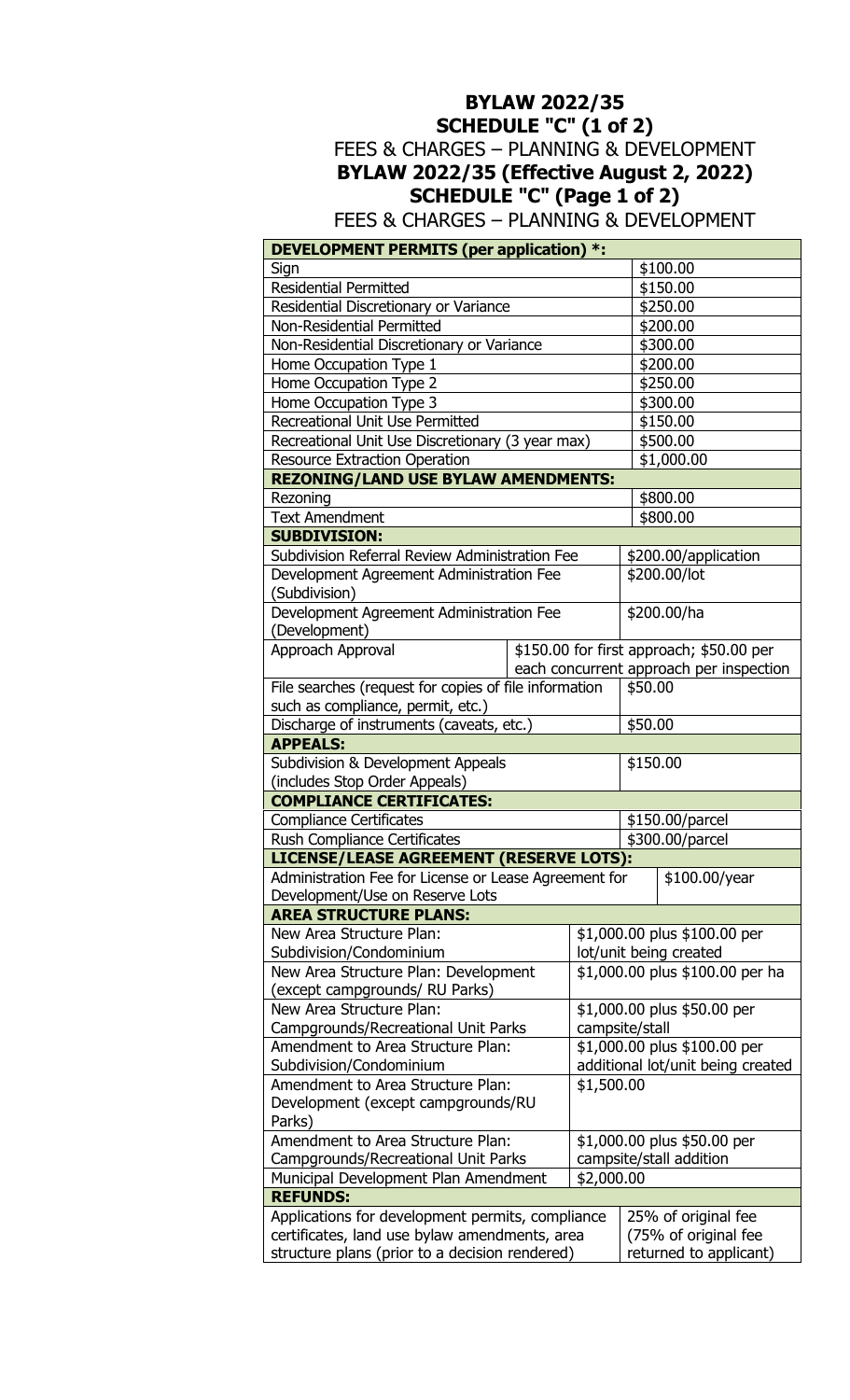# **BYLAW 2022/35 SCHEDULE "C" (1 of 2)**  FEES & CHARGES – PLANNING & DEVELOPMENT **BYLAW 2022/35 (Effective August 2, 2022) SCHEDULE "C" (Page 1 of 2)**

FEES & CHARGES – PLANNING & DEVELOPMENT

| DEVELOPMENT PERMITS (per application) *:                                                        |  |                                                           |          |                                          |
|-------------------------------------------------------------------------------------------------|--|-----------------------------------------------------------|----------|------------------------------------------|
| Sign                                                                                            |  |                                                           |          | \$100.00                                 |
| <b>Residential Permitted</b>                                                                    |  |                                                           |          | \$150.00                                 |
| Residential Discretionary or Variance                                                           |  |                                                           | \$250.00 |                                          |
| <b>Non-Residential Permitted</b>                                                                |  |                                                           |          | \$200.00                                 |
| Non-Residential Discretionary or Variance                                                       |  |                                                           |          | \$300.00                                 |
| Home Occupation Type 1                                                                          |  |                                                           |          | \$200.00                                 |
| Home Occupation Type 2                                                                          |  |                                                           |          | \$250.00                                 |
| Home Occupation Type 3                                                                          |  |                                                           |          | \$300.00                                 |
| <b>Recreational Unit Use Permitted</b>                                                          |  |                                                           |          | \$150.00                                 |
| Recreational Unit Use Discretionary (3 year max)                                                |  |                                                           |          | \$500.00                                 |
| <b>Resource Extraction Operation</b>                                                            |  |                                                           |          | \$1,000.00                               |
| <b>REZONING/LAND USE BYLAW AMENDMENTS:</b>                                                      |  |                                                           |          |                                          |
| Rezoning                                                                                        |  |                                                           |          | \$800.00                                 |
| <b>Text Amendment</b>                                                                           |  |                                                           |          | \$800.00                                 |
| <b>SUBDIVISION:</b>                                                                             |  |                                                           |          |                                          |
| Subdivision Referral Review Administration Fee                                                  |  |                                                           |          | \$200.00/application                     |
| Development Agreement Administration Fee                                                        |  |                                                           |          | \$200.00/lot                             |
| (Subdivision)                                                                                   |  |                                                           |          |                                          |
| Development Agreement Administration Fee                                                        |  |                                                           |          | \$200.00/ha                              |
| (Development)                                                                                   |  |                                                           |          |                                          |
| Approach Approval                                                                               |  |                                                           |          | \$150.00 for first approach; \$50.00 per |
|                                                                                                 |  |                                                           |          | each concurrent approach per inspection  |
| File searches (request for copies of file information                                           |  |                                                           | \$50.00  |                                          |
| such as compliance, permit, etc.)                                                               |  |                                                           |          |                                          |
| Discharge of instruments (caveats, etc.)                                                        |  |                                                           | \$50.00  |                                          |
| <b>APPEALS:</b>                                                                                 |  |                                                           |          |                                          |
| <b>Subdivision &amp; Development Appeals</b>                                                    |  |                                                           | \$150.00 |                                          |
| (includes Stop Order Appeals)                                                                   |  |                                                           |          |                                          |
| <b>COMPLIANCE CERTIFICATES:</b>                                                                 |  |                                                           |          |                                          |
| <b>Compliance Certificates</b>                                                                  |  |                                                           |          | \$150.00/parcel                          |
| Rush Compliance Certificates                                                                    |  |                                                           |          | \$300.00/parcel                          |
| LICENSE/LEASE AGREEMENT (RESERVE LOTS):                                                         |  |                                                           |          |                                          |
| Administration Fee for License or Lease Agreement for                                           |  |                                                           |          | \$100.00/year                            |
| Development/Use on Reserve Lots                                                                 |  |                                                           |          |                                          |
| <b>AREA STRUCTURE PLANS:</b>                                                                    |  |                                                           |          |                                          |
| New Area Structure Plan:                                                                        |  | \$1,000.00 plus \$100.00 per                              |          |                                          |
| Subdivision/Condominium                                                                         |  | lot/unit being created<br>\$1,000.00 plus \$100.00 per ha |          |                                          |
| New Area Structure Plan: Development                                                            |  |                                                           |          |                                          |
| (except campgrounds/ RU Parks)                                                                  |  |                                                           |          |                                          |
| New Area Structure Plan:                                                                        |  | \$1,000.00 plus \$50.00 per                               |          |                                          |
| Campgrounds/Recreational Unit Parks                                                             |  | campsite/stall                                            |          |                                          |
| Amendment to Area Structure Plan:                                                               |  | \$1,000.00 plus \$100.00 per                              |          |                                          |
| Subdivision/Condominium                                                                         |  | additional lot/unit being created<br>\$1,500.00           |          |                                          |
| Amendment to Area Structure Plan:<br>Development (except campgrounds/RU                         |  |                                                           |          |                                          |
| Parks)                                                                                          |  |                                                           |          |                                          |
|                                                                                                 |  |                                                           |          | \$1,000.00 plus \$50.00 per              |
| Amendment to Area Structure Plan:                                                               |  |                                                           |          | campsite/stall addition                  |
| Campgrounds/Recreational Unit Parks<br>Municipal Development Plan Amendment                     |  | \$2,000.00                                                |          |                                          |
| <b>REFUNDS:</b>                                                                                 |  |                                                           |          |                                          |
| Applications for development permits, compliance                                                |  |                                                           |          | 25% of original fee                      |
|                                                                                                 |  |                                                           |          | (75% of original fee                     |
| certificates, land use bylaw amendments, area<br>structure plans (prior to a decision rendered) |  |                                                           |          | returned to applicant)                   |
|                                                                                                 |  |                                                           |          |                                          |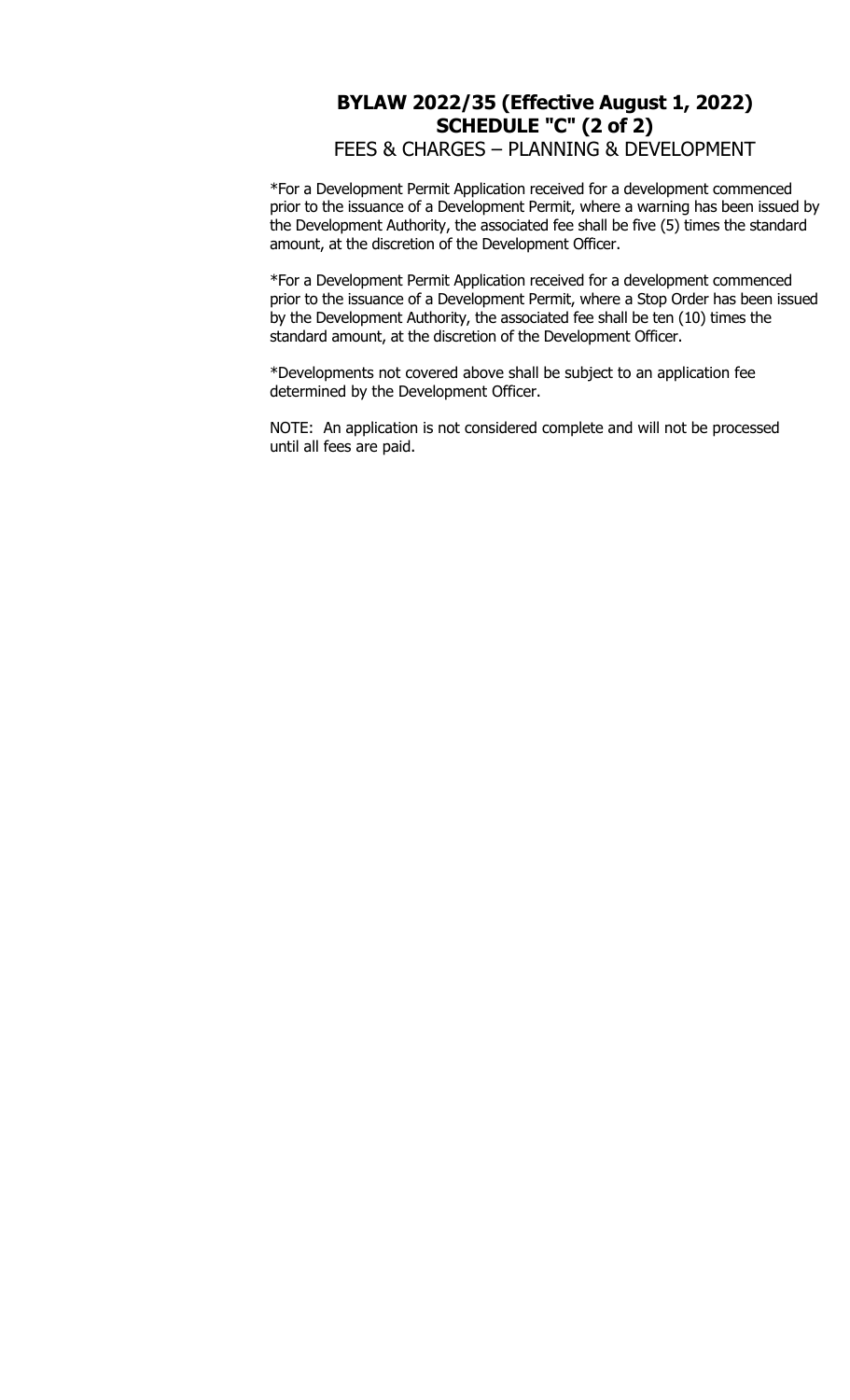### **BYLAW 2022/35 (Effective August 1, 2022) SCHEDULE "C" (2 of 2)**  FEES & CHARGES – PLANNING & DEVELOPMENT

\*For a Development Permit Application received for a development commenced prior to the issuance of a Development Permit, where a warning has been issued by the Development Authority, the associated fee shall be five (5) times the standard amount, at the discretion of the Development Officer.

\*For a Development Permit Application received for a development commenced prior to the issuance of a Development Permit, where a Stop Order has been issued by the Development Authority, the associated fee shall be ten (10) times the standard amount, at the discretion of the Development Officer.

\*Developments not covered above shall be subject to an application fee determined by the Development Officer.

NOTE: An application is not considered complete and will not be processed until all fees are paid.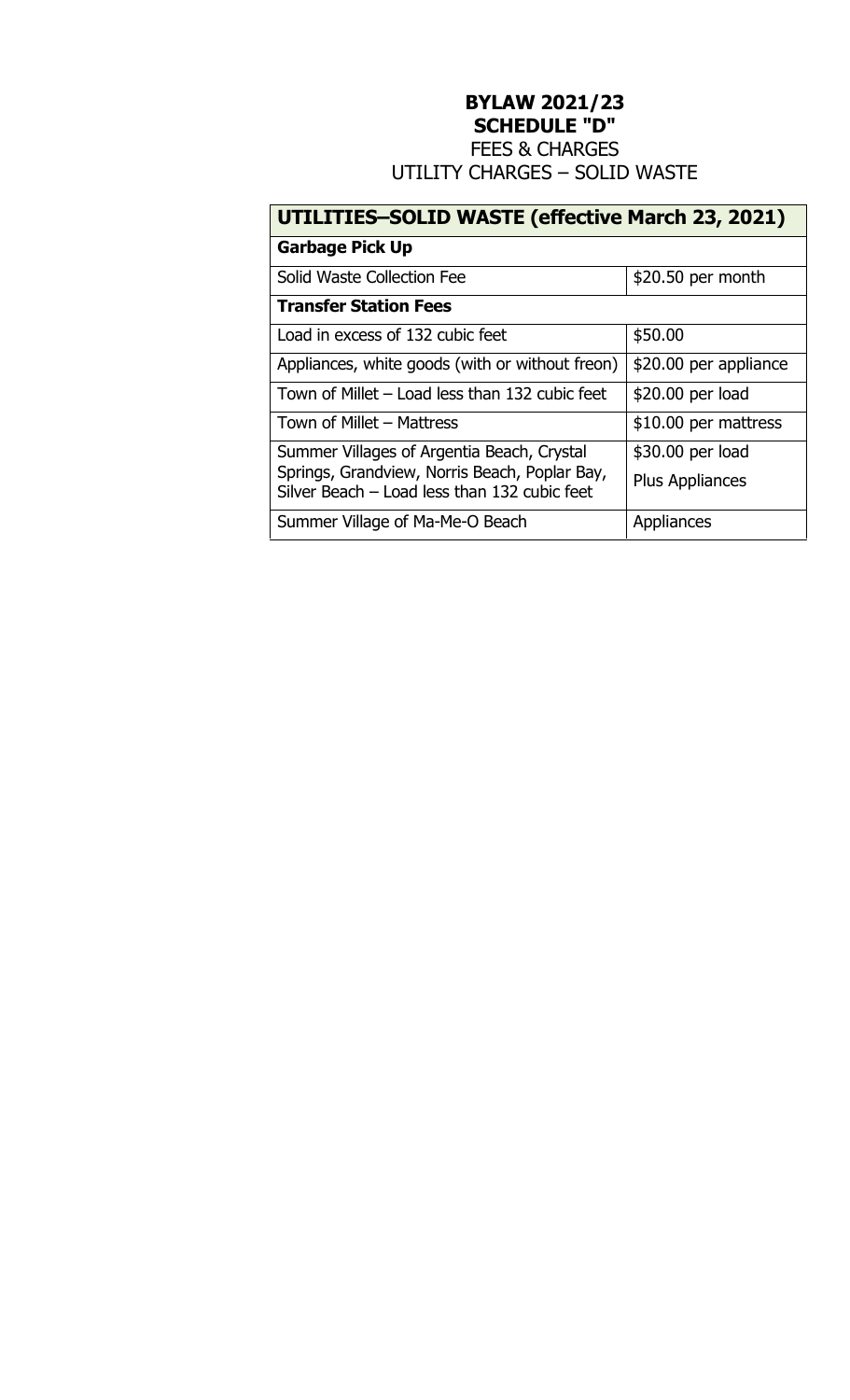# **BYLAW 2021/23 SCHEDULE "D"**

FEES & CHARGES UTILITY CHARGES – SOLID WASTE

# **UTILITIES–SOLID WASTE (effective March 23, 2021)**

| <b>Garbage Pick Up</b>                                                                        |                       |
|-----------------------------------------------------------------------------------------------|-----------------------|
| Solid Waste Collection Fee                                                                    | \$20.50 per month     |
| <b>Transfer Station Fees</b>                                                                  |                       |
| Load in excess of 132 cubic feet                                                              | \$50.00               |
| Appliances, white goods (with or without freon)                                               | \$20.00 per appliance |
| Town of Millet – Load less than 132 cubic feet                                                | \$20.00 per load      |
| Town of Millet - Mattress                                                                     | \$10.00 per mattress  |
| Summer Villages of Argentia Beach, Crystal                                                    | \$30.00 per load      |
| Springs, Grandview, Norris Beach, Poplar Bay,<br>Silver Beach - Load less than 132 cubic feet | Plus Appliances       |
| Summer Village of Ma-Me-O Beach                                                               | Appliances            |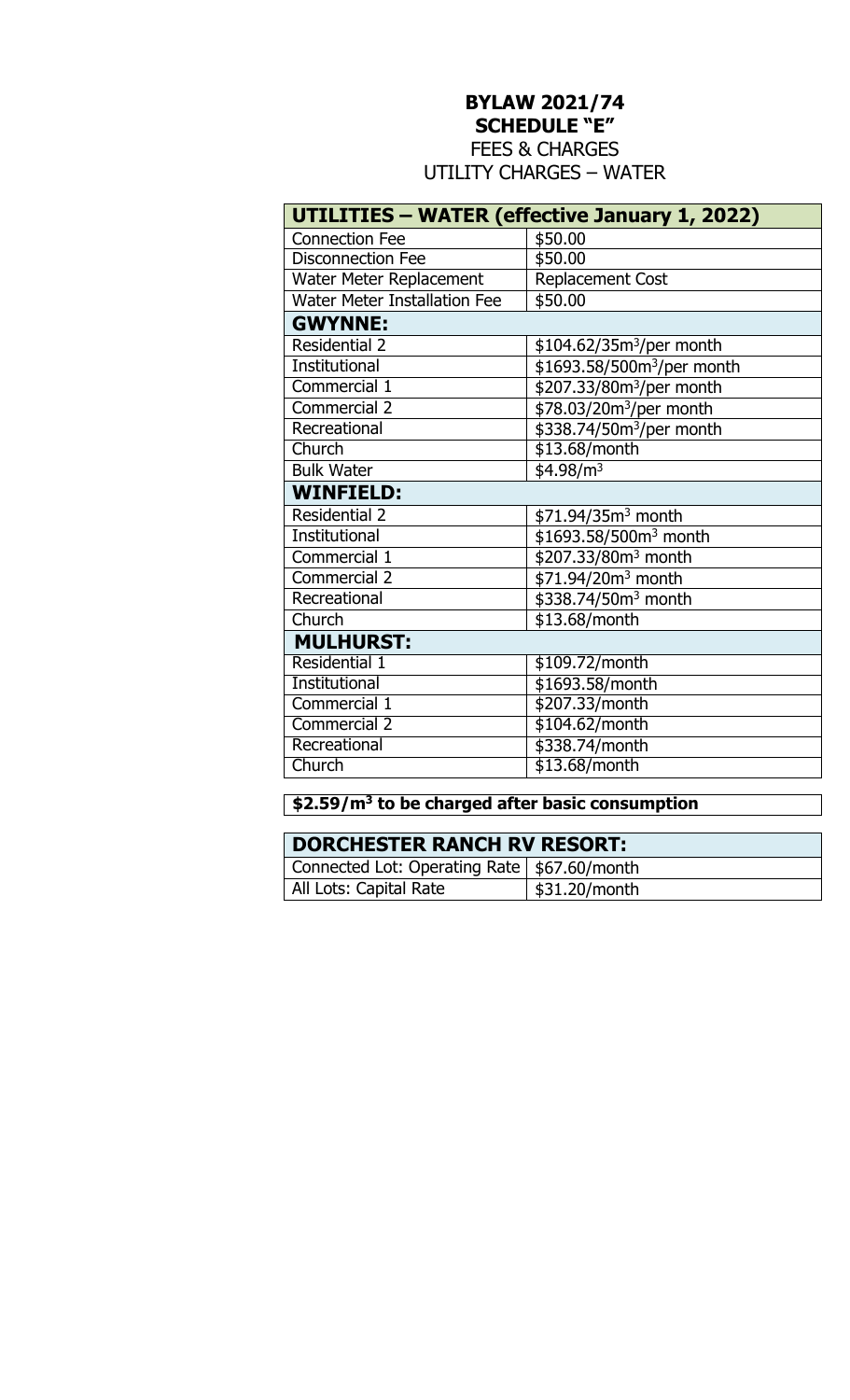# **BYLAW 2021/74**

**SCHEDULE "E"** 

FEES & CHARGES UTILITY CHARGES – WATER

|                                     | UTILITIES - WATER (effective January 1, 2022) |
|-------------------------------------|-----------------------------------------------|
| <b>Connection Fee</b>               | \$50.00                                       |
| <b>Disconnection Fee</b>            | \$50.00                                       |
| Water Meter Replacement             | <b>Replacement Cost</b>                       |
| <b>Water Meter Installation Fee</b> | \$50.00                                       |
| <b>GWYNNE:</b>                      |                                               |
| <b>Residential 2</b>                | \$104.62/35m <sup>3</sup> /per month          |
| <b>Institutional</b>                | \$1693.58/500m <sup>3</sup> /per month        |
| Commercial 1                        | \$207.33/80m <sup>3</sup> /per month          |
| <b>Commercial 2</b>                 | \$78.03/20m <sup>3</sup> /per month           |
| Recreational                        | \$338.74/50m <sup>3</sup> /per month          |
| Church                              | \$13.68/month                                 |
| <b>Bulk Water</b>                   | \$4.98/m <sup>3</sup>                         |
| <b>WINFIELD:</b>                    |                                               |
| <b>Residential 2</b>                | \$71.94/35m <sup>3</sup> month                |
| <b>Institutional</b>                | \$1693.58/500m <sup>3</sup> month             |
| Commercial 1                        | \$207.33/80m <sup>3</sup> month               |
| <b>Commercial 2</b>                 | \$71.94/20m <sup>3</sup> month                |
| Recreational                        | \$338.74/50m <sup>3</sup> month               |
| Church                              | \$13.68/month                                 |
| <b>MULHURST:</b>                    |                                               |
| Residential 1                       | \$109.72/month                                |
| Institutional                       | \$1693.58/month                               |
| Commercial 1                        | \$207.33/month                                |
| <b>Commercial 2</b>                 | \$104.62/month                                |
| Recreational                        | \$338.74/month                                |
| Church                              | $$13.68/m$ onth                               |

#### **\$2.59/m<sup>3</sup> to be charged after basic consumption**

| <b>DORCHESTER RANCH RV RESORT:</b>            |               |
|-----------------------------------------------|---------------|
| Connected Lot: Operating Rate   \$67.60/month |               |
| All Lots: Capital Rate                        | \$31.20/month |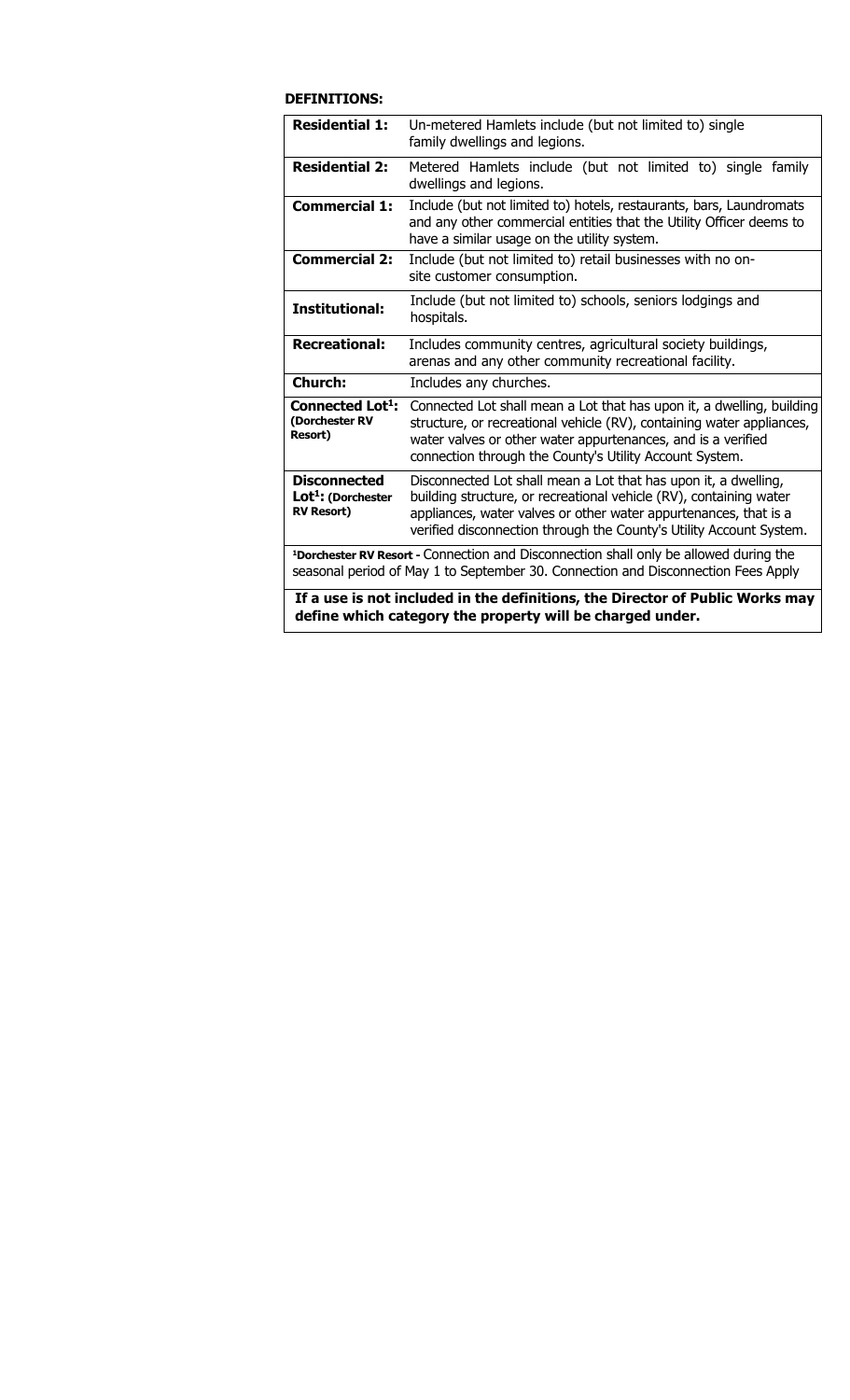#### **DEFINITIONS:**

| <b>Residential 1:</b>                                                      | Un-metered Hamlets include (but not limited to) single<br>family dwellings and legions.                                                                                                                                                                                          |
|----------------------------------------------------------------------------|----------------------------------------------------------------------------------------------------------------------------------------------------------------------------------------------------------------------------------------------------------------------------------|
| <b>Residential 2:</b>                                                      | Metered Hamlets include (but not limited to) single family<br>dwellings and legions.                                                                                                                                                                                             |
| <b>Commercial 1:</b>                                                       | Include (but not limited to) hotels, restaurants, bars, Laundromats<br>and any other commercial entities that the Utility Officer deems to<br>have a similar usage on the utility system.                                                                                        |
| <b>Commercial 2:</b>                                                       | Include (but not limited to) retail businesses with no on-<br>site customer consumption.                                                                                                                                                                                         |
| <b>Institutional:</b>                                                      | Include (but not limited to) schools, seniors lodgings and<br>hospitals.                                                                                                                                                                                                         |
| <b>Recreational:</b>                                                       | Includes community centres, agricultural society buildings,<br>arenas and any other community recreational facility.                                                                                                                                                             |
| <b>Church:</b>                                                             | Includes any churches.                                                                                                                                                                                                                                                           |
| Connected Lot <sup>1</sup> :<br>(Dorchester RV<br><b>Resort)</b>           | Connected Lot shall mean a Lot that has upon it, a dwelling, building<br>structure, or recreational vehicle (RV), containing water appliances,<br>water valves or other water appurtenances, and is a verified<br>connection through the County's Utility Account System.        |
| <b>Disconnected</b><br>Lot <sup>1</sup> : (Dorchester<br><b>RV Resort)</b> | Disconnected Lot shall mean a Lot that has upon it, a dwelling,<br>building structure, or recreational vehicle (RV), containing water<br>appliances, water valves or other water appurtenances, that is a<br>verified disconnection through the County's Utility Account System. |
|                                                                            | <sup>1</sup> Dorchester RV Resort - Connection and Disconnection shall only be allowed during the<br>seasonal period of May 1 to September 30. Connection and Disconnection Fees Apply                                                                                           |
|                                                                            | If a use is not included in the definitions, the Director of Public Works may<br>define which category the property will be charged under.                                                                                                                                       |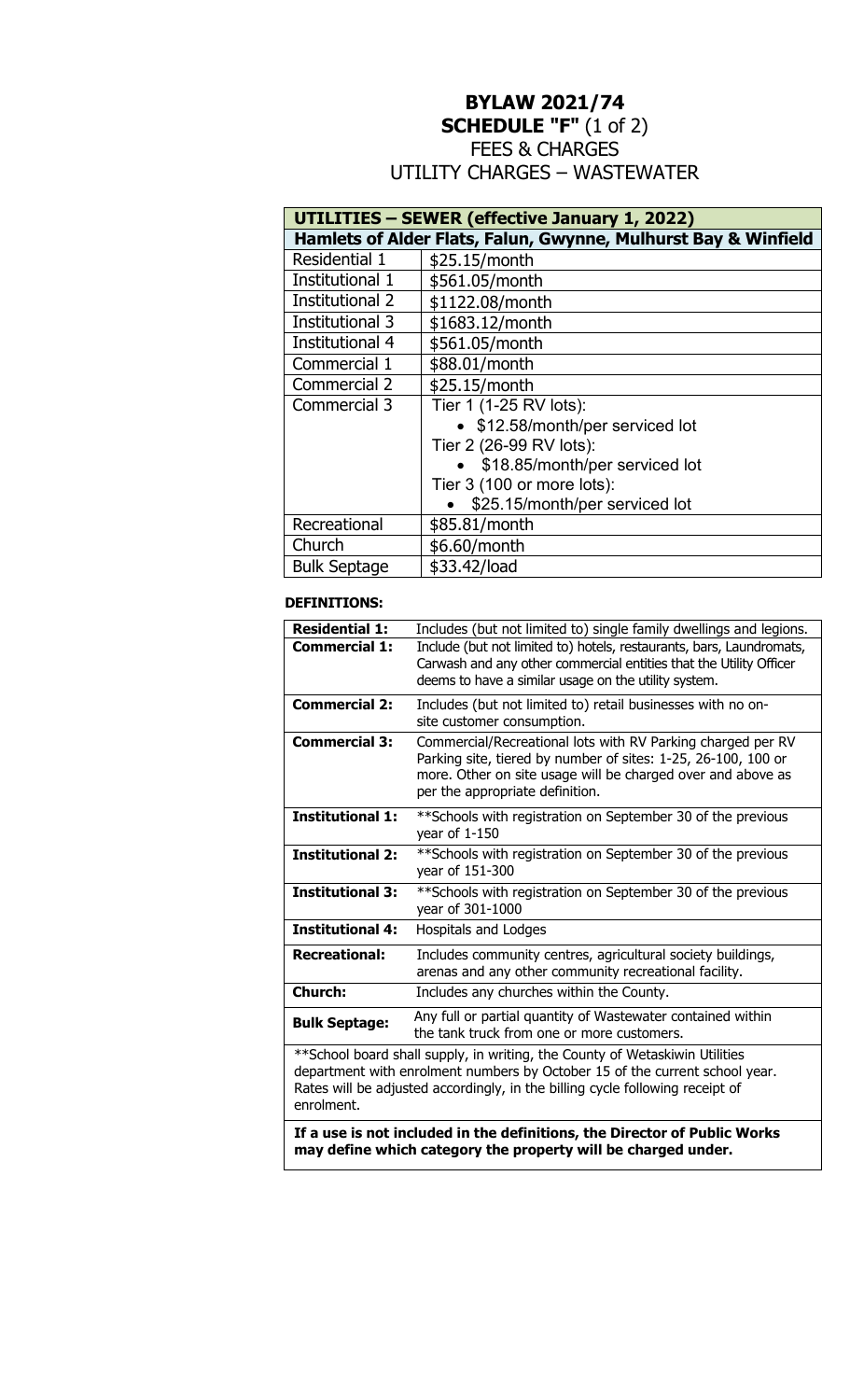# **BYLAW 2021/74 SCHEDULE "F"** (1 of 2) FEES & CHARGES

## UTILITY CHARGES – WASTEWATER

|                        | UTILITIES - SEWER (effective January 1, 2022)                  |  |  |
|------------------------|----------------------------------------------------------------|--|--|
|                        | Hamlets of Alder Flats, Falun, Gwynne, Mulhurst Bay & Winfield |  |  |
| Residential 1          | \$25.15/month                                                  |  |  |
| Institutional 1        | \$561.05/month                                                 |  |  |
| <b>Institutional 2</b> | \$1122.08/month                                                |  |  |
| Institutional 3        | \$1683.12/month                                                |  |  |
| Institutional 4        | \$561.05/month                                                 |  |  |
| Commercial 1           | \$88.01/month                                                  |  |  |
| Commercial 2           | \$25.15/month                                                  |  |  |
| Commercial 3           | Tier 1 (1-25 RV lots):                                         |  |  |
|                        | • \$12.58/month/per serviced lot                               |  |  |
|                        | Tier 2 (26-99 RV lots):                                        |  |  |
|                        | \$18.85/month/per serviced lot                                 |  |  |
|                        | Tier 3 (100 or more lots):                                     |  |  |
|                        | \$25.15/month/per serviced lot                                 |  |  |
| Recreational           | \$85.81/month                                                  |  |  |
| Church                 | \$6.60/month                                                   |  |  |
| <b>Bulk Septage</b>    | \$33.42/load                                                   |  |  |

#### **DEFINITIONS:**

| <b>Residential 1:</b>   | Includes (but not limited to) single family dwellings and legions.                                                                                                                                                                           |
|-------------------------|----------------------------------------------------------------------------------------------------------------------------------------------------------------------------------------------------------------------------------------------|
| <b>Commercial 1:</b>    | Include (but not limited to) hotels, restaurants, bars, Laundromats,<br>Carwash and any other commercial entities that the Utility Officer<br>deems to have a similar usage on the utility system.                                           |
| <b>Commercial 2:</b>    | Includes (but not limited to) retail businesses with no on-<br>site customer consumption.                                                                                                                                                    |
| <b>Commercial 3:</b>    | Commercial/Recreational lots with RV Parking charged per RV<br>Parking site, tiered by number of sites: 1-25, 26-100, 100 or<br>more. Other on site usage will be charged over and above as<br>per the appropriate definition.               |
| <b>Institutional 1:</b> | **Schools with registration on September 30 of the previous<br>year of 1-150                                                                                                                                                                 |
| <b>Institutional 2:</b> | ** Schools with registration on September 30 of the previous<br>year of 151-300                                                                                                                                                              |
| <b>Institutional 3:</b> | ** Schools with registration on September 30 of the previous<br>year of 301-1000                                                                                                                                                             |
| <b>Institutional 4:</b> | Hospitals and Lodges                                                                                                                                                                                                                         |
| <b>Recreational:</b>    | Includes community centres, agricultural society buildings,<br>arenas and any other community recreational facility.                                                                                                                         |
| Church:                 | Includes any churches within the County.                                                                                                                                                                                                     |
| <b>Bulk Septage:</b>    | Any full or partial quantity of Wastewater contained within<br>the tank truck from one or more customers.                                                                                                                                    |
| enrolment.              | ** School board shall supply, in writing, the County of Wetaskiwin Utilities<br>department with enrolment numbers by October 15 of the current school year.<br>Rates will be adjusted accordingly, in the billing cycle following receipt of |

**If a use is not included in the definitions, the Director of Public Works may define which category the property will be charged under.**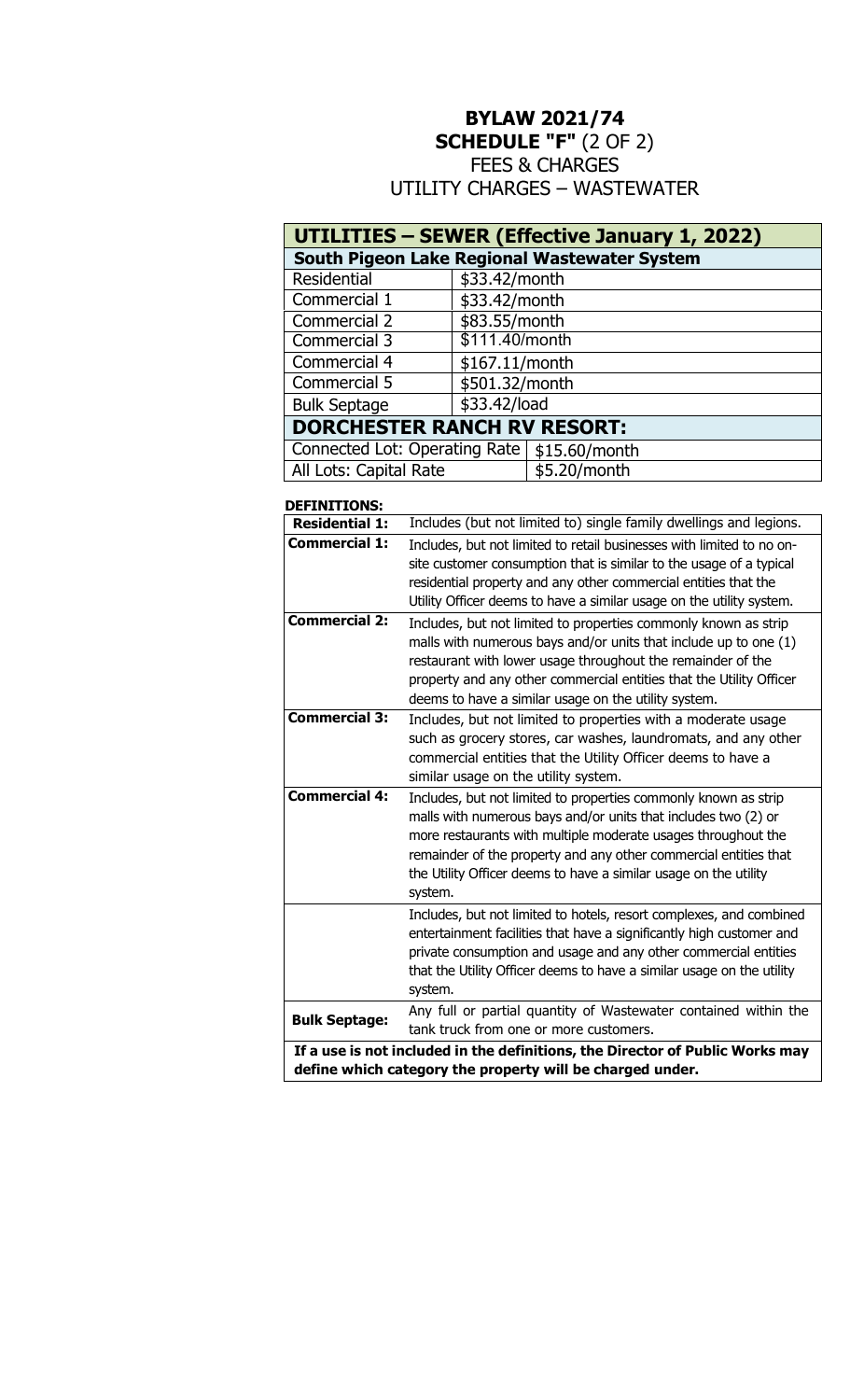# **BYLAW 2021/74 SCHEDULE "F"** (2 OF 2) FEES & CHARGES UTILITY CHARGES – WASTEWATER

| <b>UTILITIES - SEWER (Effective January 1, 2022)</b> |                |              |
|------------------------------------------------------|----------------|--------------|
| South Pigeon Lake Regional Wastewater System         |                |              |
| Residential                                          | \$33.42/month  |              |
| Commercial 1                                         | \$33.42/month  |              |
| Commercial 2                                         | \$83.55/month  |              |
| Commercial 3                                         | \$111.40/month |              |
| Commercial 4                                         | \$167.11/month |              |
| Commercial 5                                         | \$501.32/month |              |
| <b>Bulk Septage</b>                                  | \$33.42/load   |              |
| <b>DORCHESTER RANCH RV RESORT:</b>                   |                |              |
| Connected Lot: Operating Rate   \$15.60/month        |                |              |
| All Lots: Capital Rate                               |                | \$5.20/month |

#### **DEFINITIONS:**

| <b>Residential 1:</b>                                                                                                                      | Includes (but not limited to) single family dwellings and legions.                                                                                                                                                                                                                                                                                    |
|--------------------------------------------------------------------------------------------------------------------------------------------|-------------------------------------------------------------------------------------------------------------------------------------------------------------------------------------------------------------------------------------------------------------------------------------------------------------------------------------------------------|
| <b>Commercial 1:</b>                                                                                                                       | Includes, but not limited to retail businesses with limited to no on-<br>site customer consumption that is similar to the usage of a typical<br>residential property and any other commercial entities that the<br>Utility Officer deems to have a similar usage on the utility system.                                                               |
| <b>Commercial 2:</b>                                                                                                                       | Includes, but not limited to properties commonly known as strip<br>malls with numerous bays and/or units that include up to one (1)<br>restaurant with lower usage throughout the remainder of the<br>property and any other commercial entities that the Utility Officer<br>deems to have a similar usage on the utility system.                     |
| <b>Commercial 3:</b>                                                                                                                       | Includes, but not limited to properties with a moderate usage<br>such as grocery stores, car washes, laundromats, and any other<br>commercial entities that the Utility Officer deems to have a<br>similar usage on the utility system.                                                                                                               |
| <b>Commercial 4:</b>                                                                                                                       | Includes, but not limited to properties commonly known as strip<br>malls with numerous bays and/or units that includes two (2) or<br>more restaurants with multiple moderate usages throughout the<br>remainder of the property and any other commercial entities that<br>the Utility Officer deems to have a similar usage on the utility<br>system. |
|                                                                                                                                            | Includes, but not limited to hotels, resort complexes, and combined<br>entertainment facilities that have a significantly high customer and<br>private consumption and usage and any other commercial entities<br>that the Utility Officer deems to have a similar usage on the utility<br>system.                                                    |
| <b>Bulk Septage:</b>                                                                                                                       | Any full or partial quantity of Wastewater contained within the<br>tank truck from one or more customers.                                                                                                                                                                                                                                             |
| If a use is not included in the definitions, the Director of Public Works may<br>define which category the property will be charged under. |                                                                                                                                                                                                                                                                                                                                                       |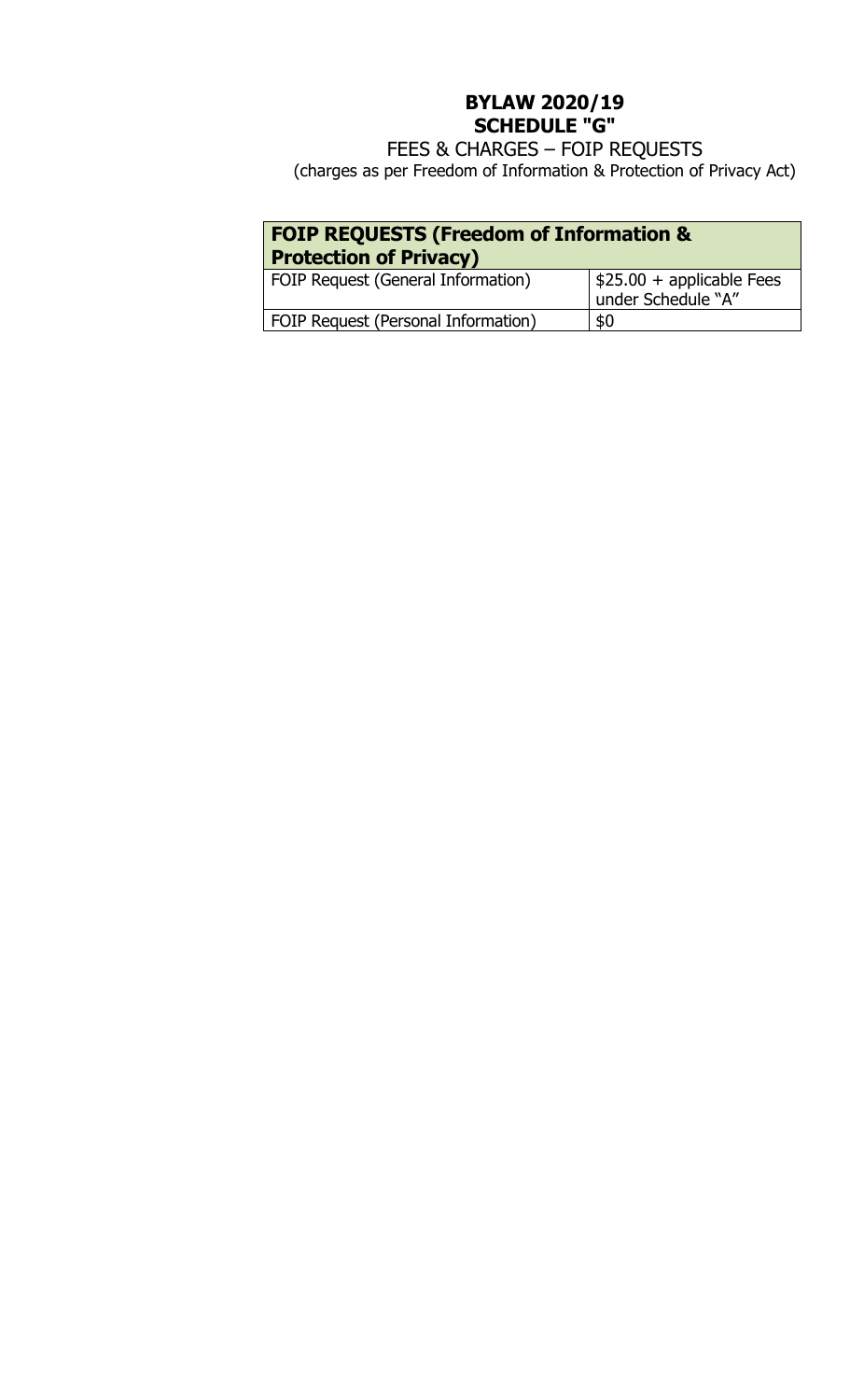# **BYLAW 2020/19 SCHEDULE "G"**

FEES & CHARGES – FOIP REQUESTS (charges as per Freedom of Information & Protection of Privacy Act)

| <b>FOIP REQUESTS (Freedom of Information &amp;</b><br><b>Protection of Privacy)</b> |                                                               |  |
|-------------------------------------------------------------------------------------|---------------------------------------------------------------|--|
| FOIP Request (General Information)                                                  | $\frac{1}{2}$ \$25.00 + applicable Fees<br>under Schedule "A" |  |
| FOIP Request (Personal Information)                                                 | \$0                                                           |  |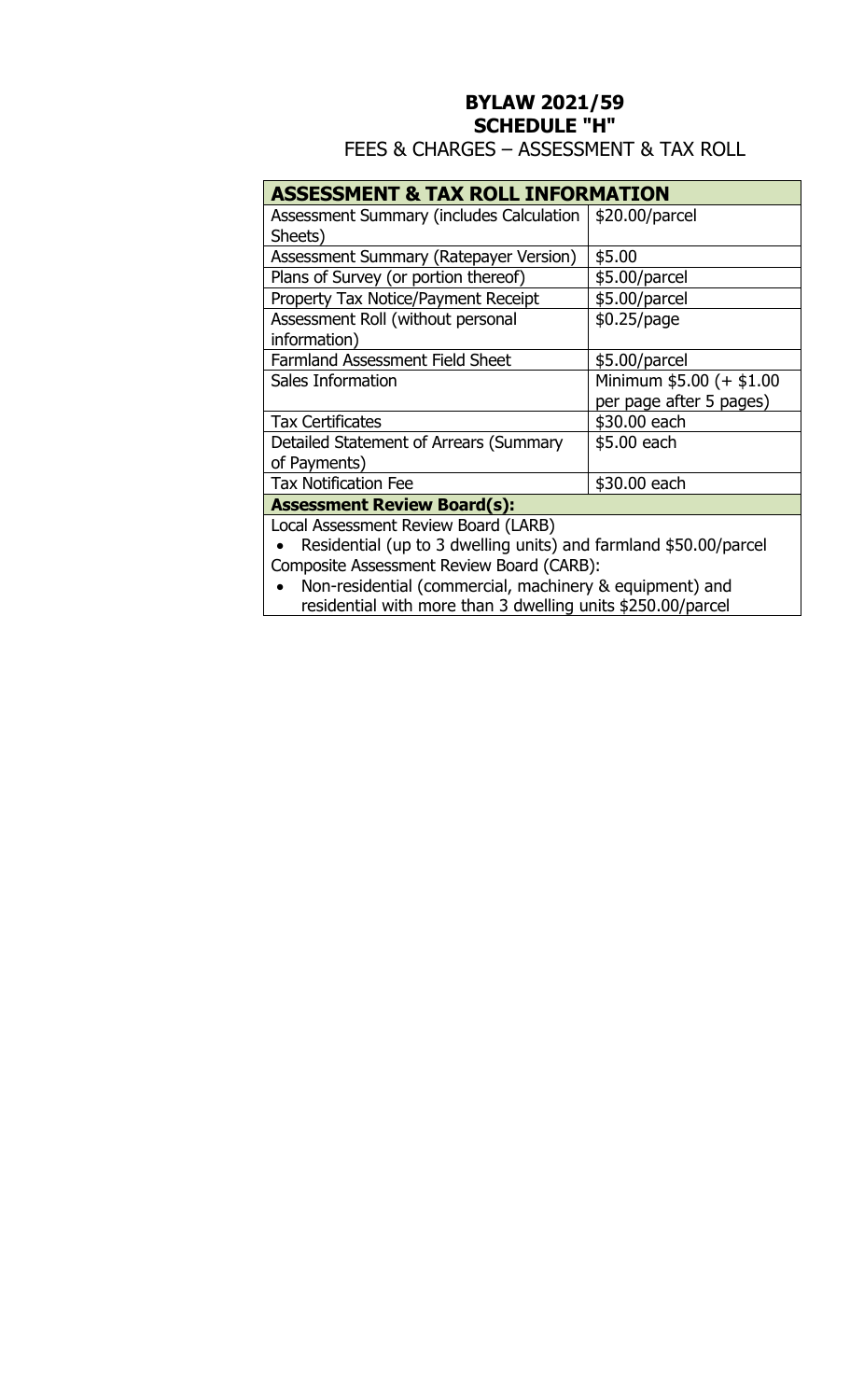# **BYLAW 2021/59 SCHEDULE "H"**

FEES & CHARGES – ASSESSMENT & TAX ROLL

### **ASSESSMENT & TAX ROLL INFORMATION**

| Assessment Summary (includes Calculation | \$20.00/parcel           |
|------------------------------------------|--------------------------|
| Sheets)                                  |                          |
| Assessment Summary (Ratepayer Version)   | \$5.00                   |
| Plans of Survey (or portion thereof)     | \$5.00/parcel            |
| Property Tax Notice/Payment Receipt      | \$5.00/parcel            |
| Assessment Roll (without personal        | \$0.25/page              |
| information)                             |                          |
| <b>Farmland Assessment Field Sheet</b>   | \$5.00/parcel            |
| Sales Information                        | Minimum \$5.00 (+ \$1.00 |
|                                          | per page after 5 pages)  |
| <b>Tax Certificates</b>                  | \$30.00 each             |
| Detailed Statement of Arrears (Summary   | \$5.00 each              |
| of Payments)                             |                          |
| <b>Tax Notification Fee</b>              | \$30.00 each             |
| <b>Assessment Review Board(s):</b>       |                          |
| Local Assessment Review Board (LARR)     |                          |

Local Assessment Review Board (LARB)

 Residential (up to 3 dwelling units) and farmland \$50.00/parcel Composite Assessment Review Board (CARB):

 Non-residential (commercial, machinery & equipment) and residential with more than 3 dwelling units \$250.00/parcel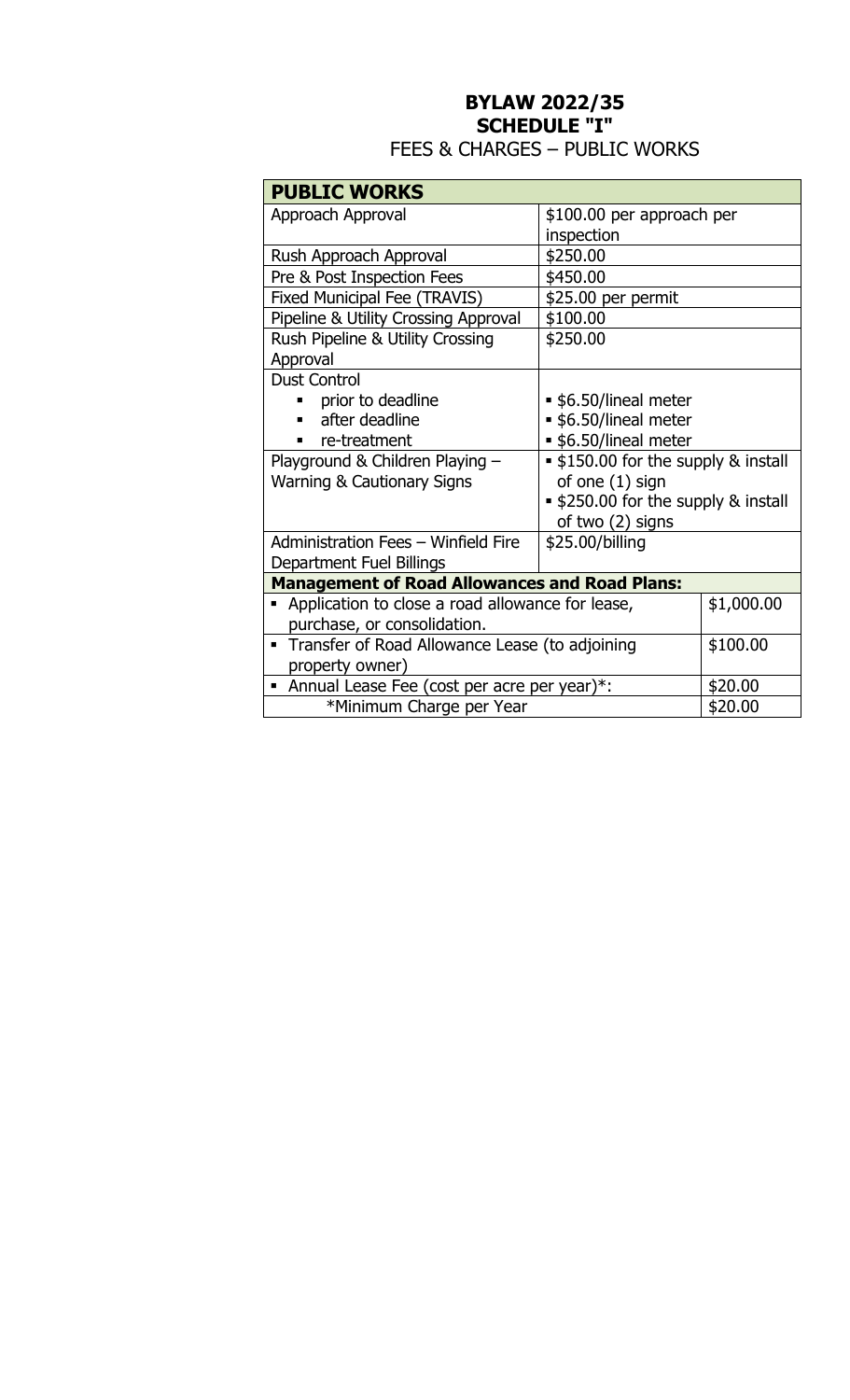# **BYLAW 2022/35 SCHEDULE "I"**

| <b>PUBLIC WORKS</b>                                  |                                            |            |
|------------------------------------------------------|--------------------------------------------|------------|
| Approach Approval                                    | \$100.00 per approach per                  |            |
|                                                      | inspection                                 |            |
| Rush Approach Approval                               | \$250.00                                   |            |
| Pre & Post Inspection Fees                           | \$450.00                                   |            |
| Fixed Municipal Fee (TRAVIS)                         | \$25.00 per permit                         |            |
| Pipeline & Utility Crossing Approval                 | \$100.00                                   |            |
| Rush Pipeline & Utility Crossing                     | \$250.00                                   |            |
| Approval                                             |                                            |            |
| <b>Dust Control</b>                                  |                                            |            |
| prior to deadline                                    | • \$6.50/lineal meter                      |            |
| after deadline                                       | • \$6.50/lineal meter                      |            |
| • \$6.50/lineal meter<br>re-treatment                |                                            |            |
| Playground & Children Playing -                      | <b>.</b> \$150.00 for the supply & install |            |
| <b>Warning &amp; Cautionary Signs</b>                | of one (1) sign                            |            |
|                                                      | <b>.</b> \$250.00 for the supply & install |            |
|                                                      | of two (2) signs                           |            |
| Administration Fees - Winfield Fire                  | \$25.00/billing                            |            |
| Department Fuel Billings                             |                                            |            |
| <b>Management of Road Allowances and Road Plans:</b> |                                            |            |
| Application to close a road allowance for lease,     |                                            | \$1,000.00 |
| purchase, or consolidation.                          |                                            |            |
| • Transfer of Road Allowance Lease (to adjoining     |                                            | \$100.00   |
| property owner)                                      |                                            |            |
| • Annual Lease Fee (cost per acre per year)*:        |                                            | \$20.00    |
| *Minimum Charge per Year                             |                                            | \$20.00    |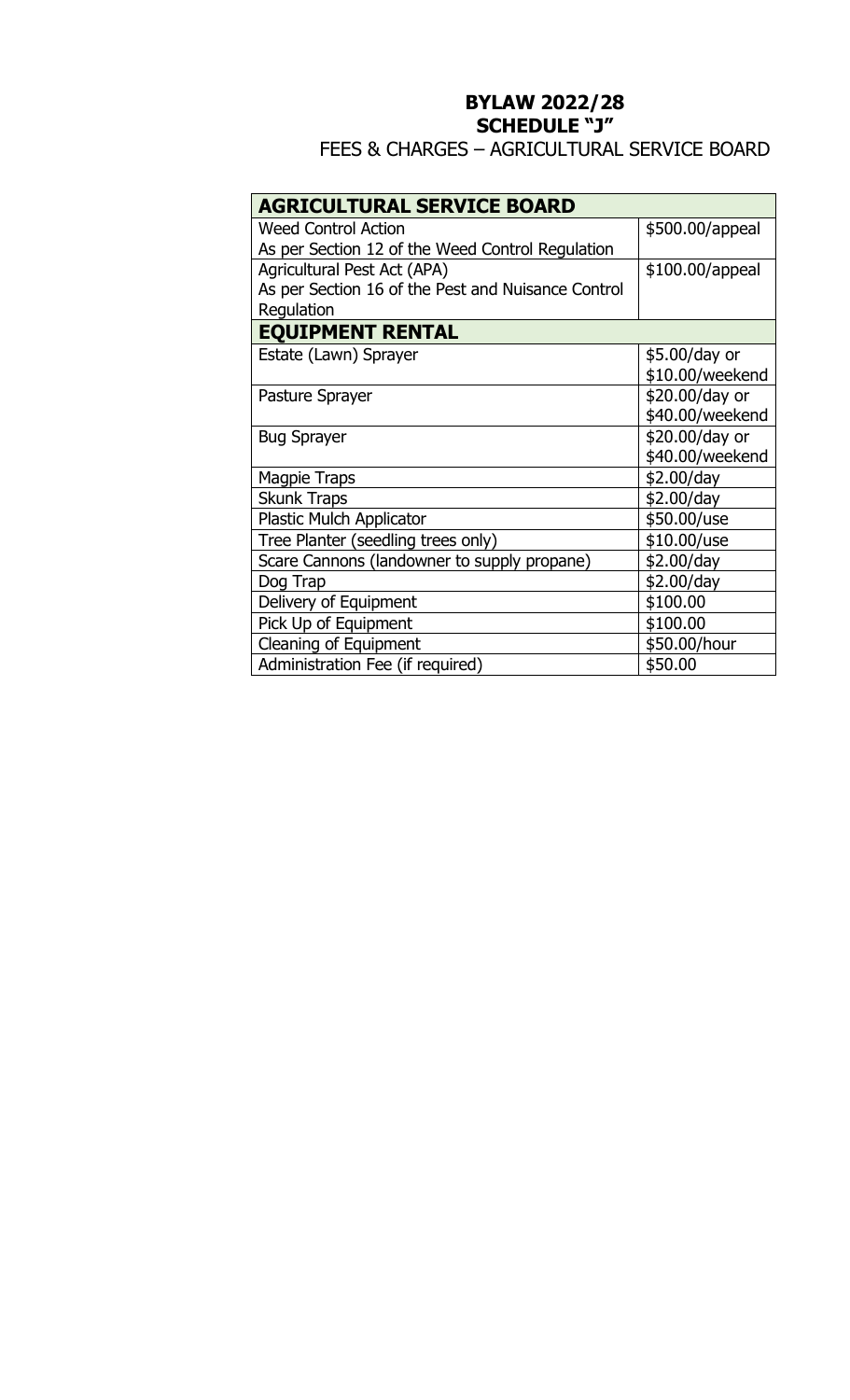# **BYLAW 2022/28 SCHEDULE "J"**

## FEES & CHARGES – AGRICULTURAL SERVICE BOARD

| <b>AGRICULTURAL SERVICE BOARD</b>                  |                 |  |
|----------------------------------------------------|-----------------|--|
| <b>Weed Control Action</b>                         | \$500.00/appeal |  |
| As per Section 12 of the Weed Control Regulation   |                 |  |
| Agricultural Pest Act (APA)                        | \$100.00/appeal |  |
| As per Section 16 of the Pest and Nuisance Control |                 |  |
| Regulation                                         |                 |  |
| <b>EQUIPMENT RENTAL</b>                            |                 |  |
| Estate (Lawn) Sprayer                              | \$5.00/day or   |  |
|                                                    | \$10.00/weekend |  |
| Pasture Sprayer                                    | \$20.00/day or  |  |
|                                                    | \$40.00/weekend |  |
| <b>Bug Sprayer</b>                                 | \$20.00/day or  |  |
|                                                    | \$40.00/weekend |  |
| <b>Magpie Traps</b>                                | \$2.00/day      |  |
| <b>Skunk Traps</b>                                 | \$2.00/day      |  |
| <b>Plastic Mulch Applicator</b>                    | \$50.00/use     |  |
| Tree Planter (seedling trees only)                 | $$10.00/$ use   |  |
| Scare Cannons (landowner to supply propane)        | \$2.00/day      |  |
| Dog Trap                                           | \$2.00/day      |  |
| Delivery of Equipment                              | \$100.00        |  |
| Pick Up of Equipment                               | \$100.00        |  |
| Cleaning of Equipment                              | \$50.00/hour    |  |
| Administration Fee (if required)                   | \$50.00         |  |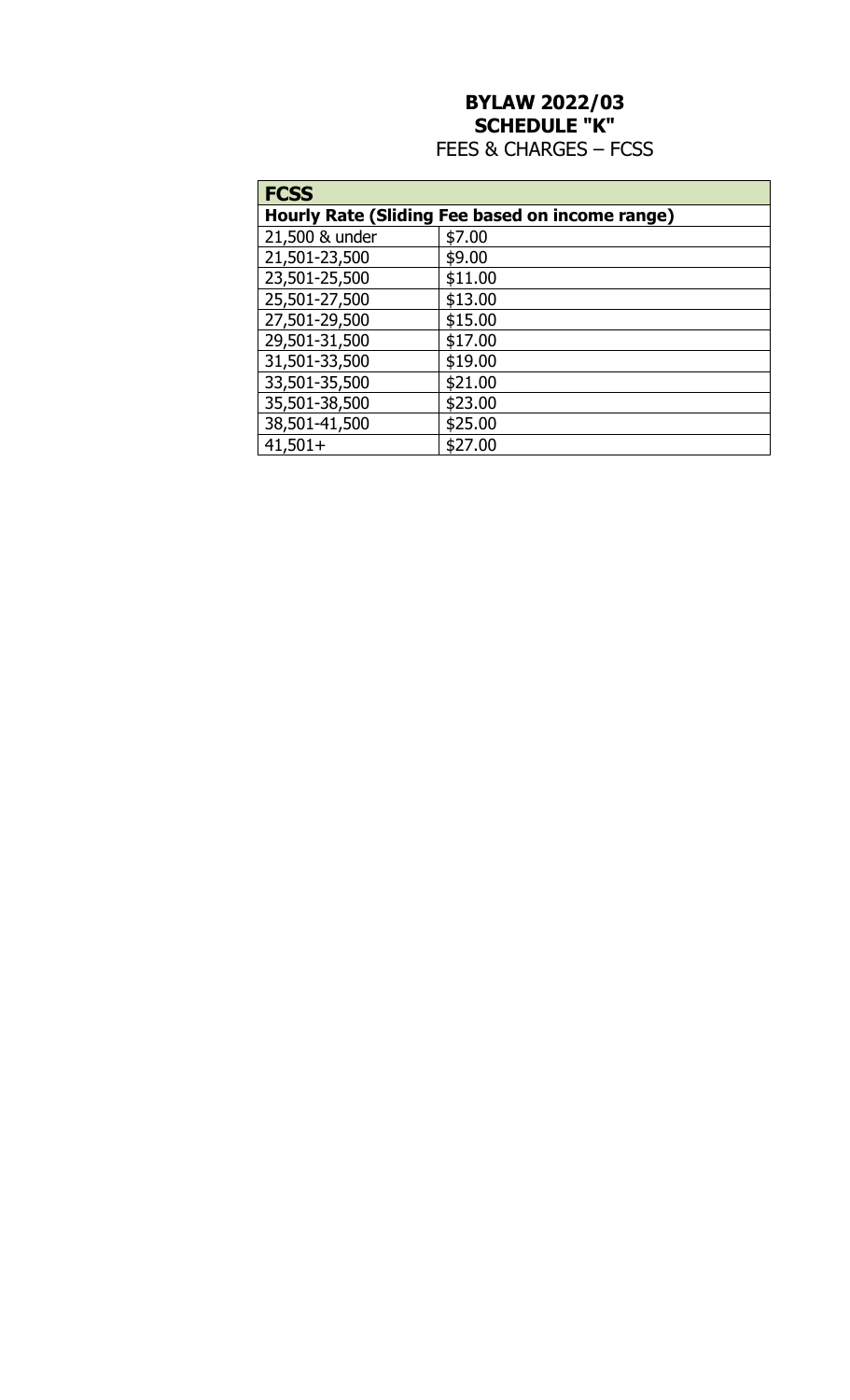# **BYLAW 2022/03 SCHEDULE "K"**  FEES & CHARGES – FCSS

| <b>FCSS</b>                                     |         |  |
|-------------------------------------------------|---------|--|
| Hourly Rate (Sliding Fee based on income range) |         |  |
| 21,500 & under                                  | \$7.00  |  |
| 21,501-23,500                                   | \$9.00  |  |
| 23,501-25,500                                   | \$11.00 |  |
| 25,501-27,500                                   | \$13.00 |  |
| 27,501-29,500                                   | \$15.00 |  |
| 29,501-31,500                                   | \$17.00 |  |
| 31,501-33,500                                   | \$19.00 |  |
| 33,501-35,500                                   | \$21.00 |  |
| 35,501-38,500                                   | \$23.00 |  |
| 38,501-41,500                                   | \$25.00 |  |
| $41,501+$                                       | \$27.00 |  |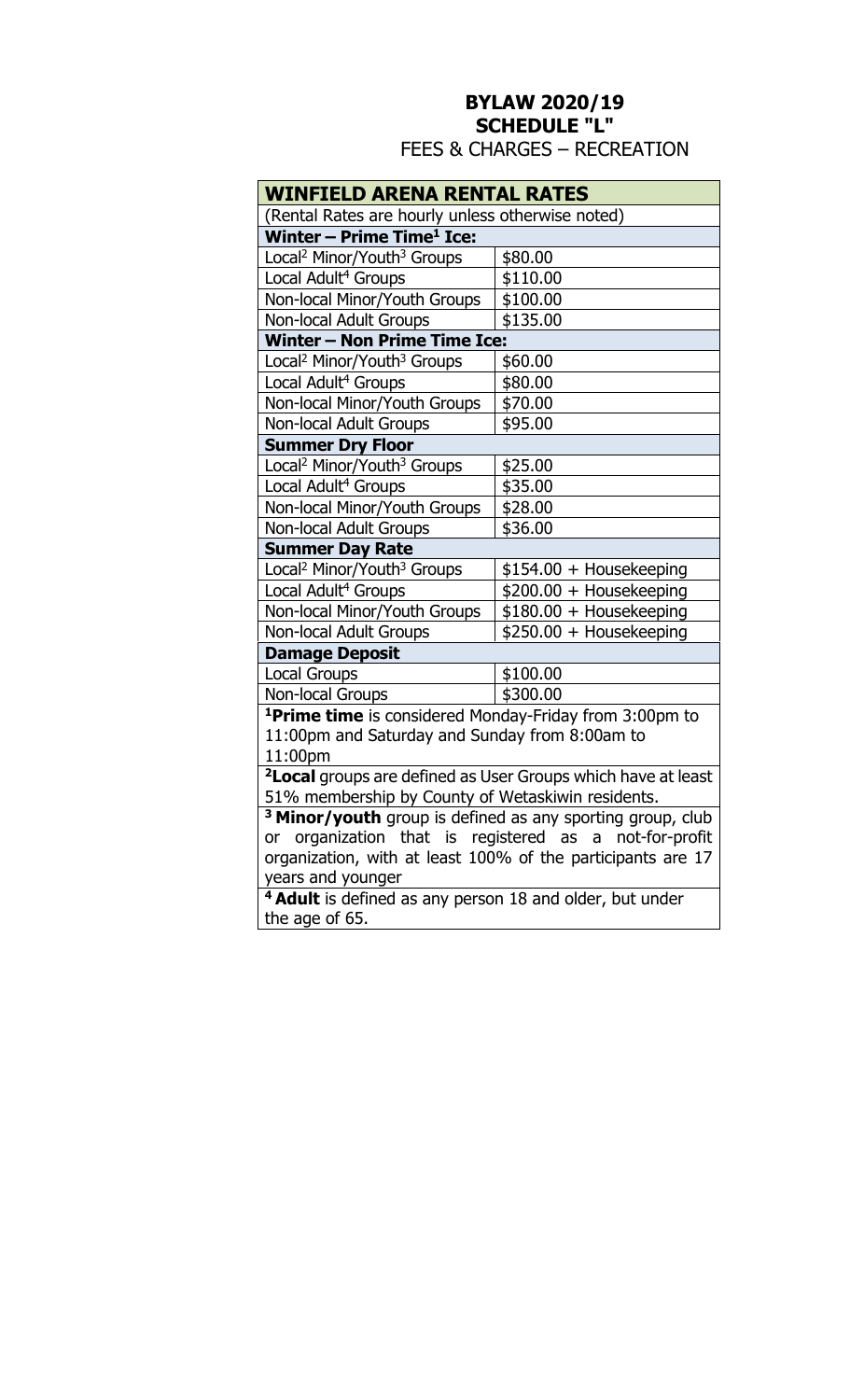## **BYLAW 2020/19 SCHEDULE "L"**  FEES & CHARGES – RECREATION

| WINFIELD ARENA RENTAL RATES                                              |                          |  |
|--------------------------------------------------------------------------|--------------------------|--|
| (Rental Rates are hourly unless otherwise noted)                         |                          |  |
| Winter - Prime Time <sup>1</sup> Ice:                                    |                          |  |
| Local <sup>2</sup> Minor/Youth <sup>3</sup> Groups                       | \$80.00                  |  |
| Local Adult <sup>4</sup> Groups                                          | \$110.00                 |  |
| Non-local Minor/Youth Groups                                             | \$100.00                 |  |
| <b>Non-local Adult Groups</b>                                            | \$135.00                 |  |
| <b>Winter - Non Prime Time Ice:</b>                                      |                          |  |
| Local <sup>2</sup> Minor/Youth <sup>3</sup> Groups                       | \$60.00                  |  |
| Local Adult <sup>4</sup> Groups                                          | \$80.00                  |  |
| Non-local Minor/Youth Groups                                             | \$70.00                  |  |
| <b>Non-local Adult Groups</b>                                            | \$95.00                  |  |
| <b>Summer Dry Floor</b>                                                  |                          |  |
| Local <sup>2</sup> Minor/Youth <sup>3</sup> Groups                       | \$25.00                  |  |
| Local Adult <sup>4</sup> Groups                                          | \$35.00                  |  |
| Non-local Minor/Youth Groups                                             | \$28.00                  |  |
| <b>Non-local Adult Groups</b>                                            | \$36.00                  |  |
| <b>Summer Day Rate</b>                                                   |                          |  |
| Local <sup>2</sup> Minor/Youth <sup>3</sup> Groups                       | $$154.00 + Housekeeping$ |  |
| Local Adult <sup>4</sup> Groups                                          | \$200.00 + Housekeeping  |  |
| Non-local Minor/Youth Groups                                             | $$180.00 + Housekeeping$ |  |
| <b>Non-local Adult Groups</b>                                            | \$250.00 + Housekeeping  |  |
| <b>Damage Deposit</b>                                                    |                          |  |
| <b>Local Groups</b>                                                      | \$100.00                 |  |
| Non-local Groups                                                         | \$300.00                 |  |
| <sup>1</sup> Prime time is considered Monday-Friday from 3:00pm to       |                          |  |
| 11:00pm and Saturday and Sunday from 8:00am to                           |                          |  |
| 11:00pm                                                                  |                          |  |
| <sup>2</sup> Local groups are defined as User Groups which have at least |                          |  |

51% membership by County of Wetaskiwin residents.

**<sup>3</sup>Minor/youth** group is defined as any sporting group, club or organization that is registered as a not-for-profit organization, with at least 100% of the participants are 17 years and younger

**<sup>4</sup>Adult** is defined as any person 18 and older, but under the age of 65.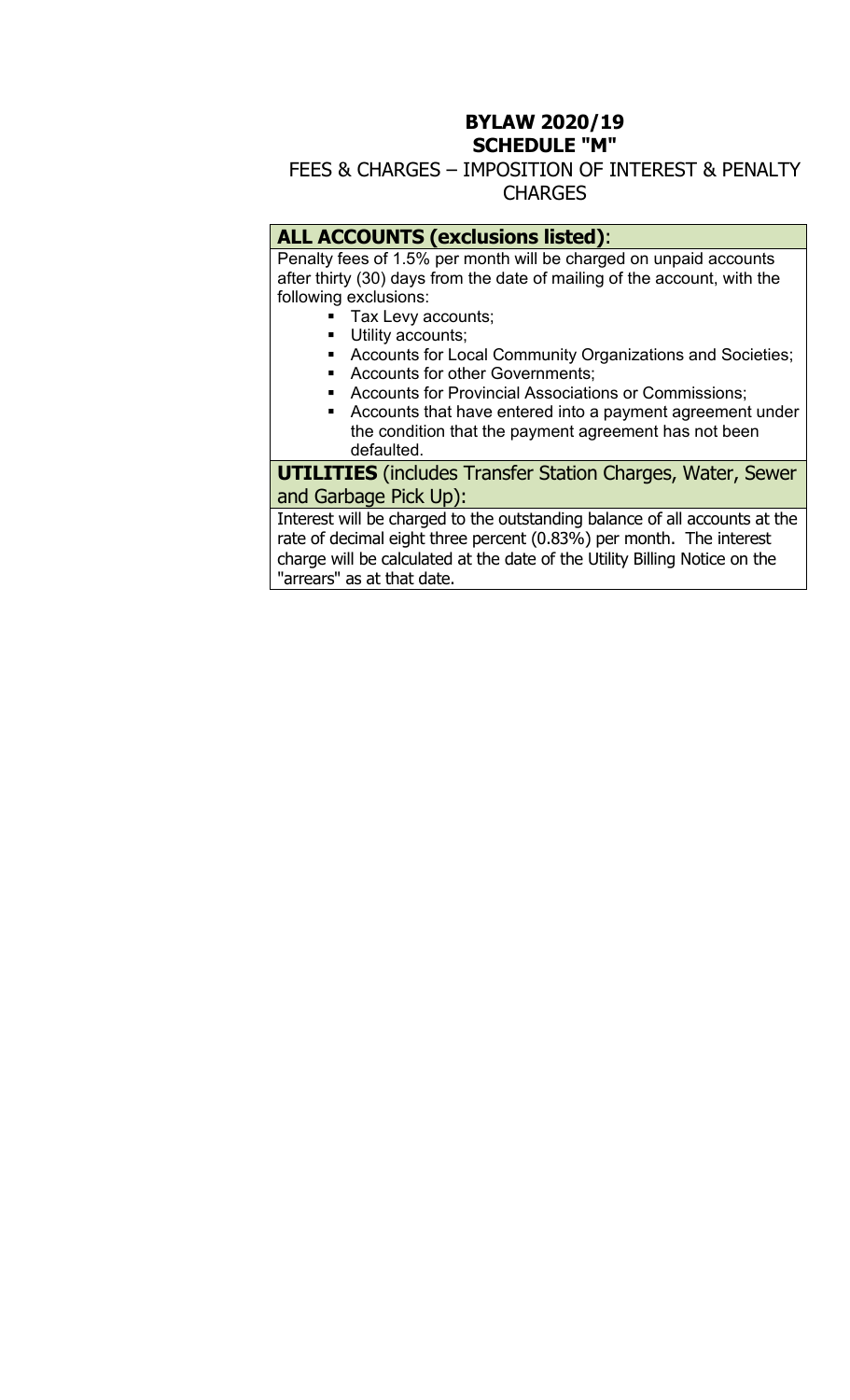### **BYLAW 2020/19 SCHEDULE "M"**

## FEES & CHARGES – IMPOSITION OF INTEREST & PENALTY CHARGES

## **ALL ACCOUNTS (exclusions listed)**:

Penalty fees of 1.5% per month will be charged on unpaid accounts after thirty (30) days from the date of mailing of the account, with the following exclusions:

- Tax Levy accounts;
- **Utility accounts;**
- **EXP** Accounts for Local Community Organizations and Societies;
- **Accounts for other Governments;**
- **Accounts for Provincial Associations or Commissions;**
- Accounts that have entered into a payment agreement under the condition that the payment agreement has not been defaulted.

**UTILITIES** (includes Transfer Station Charges, Water, Sewer and Garbage Pick Up):

Interest will be charged to the outstanding balance of all accounts at the rate of decimal eight three percent (0.83%) per month. The interest charge will be calculated at the date of the Utility Billing Notice on the "arrears" as at that date.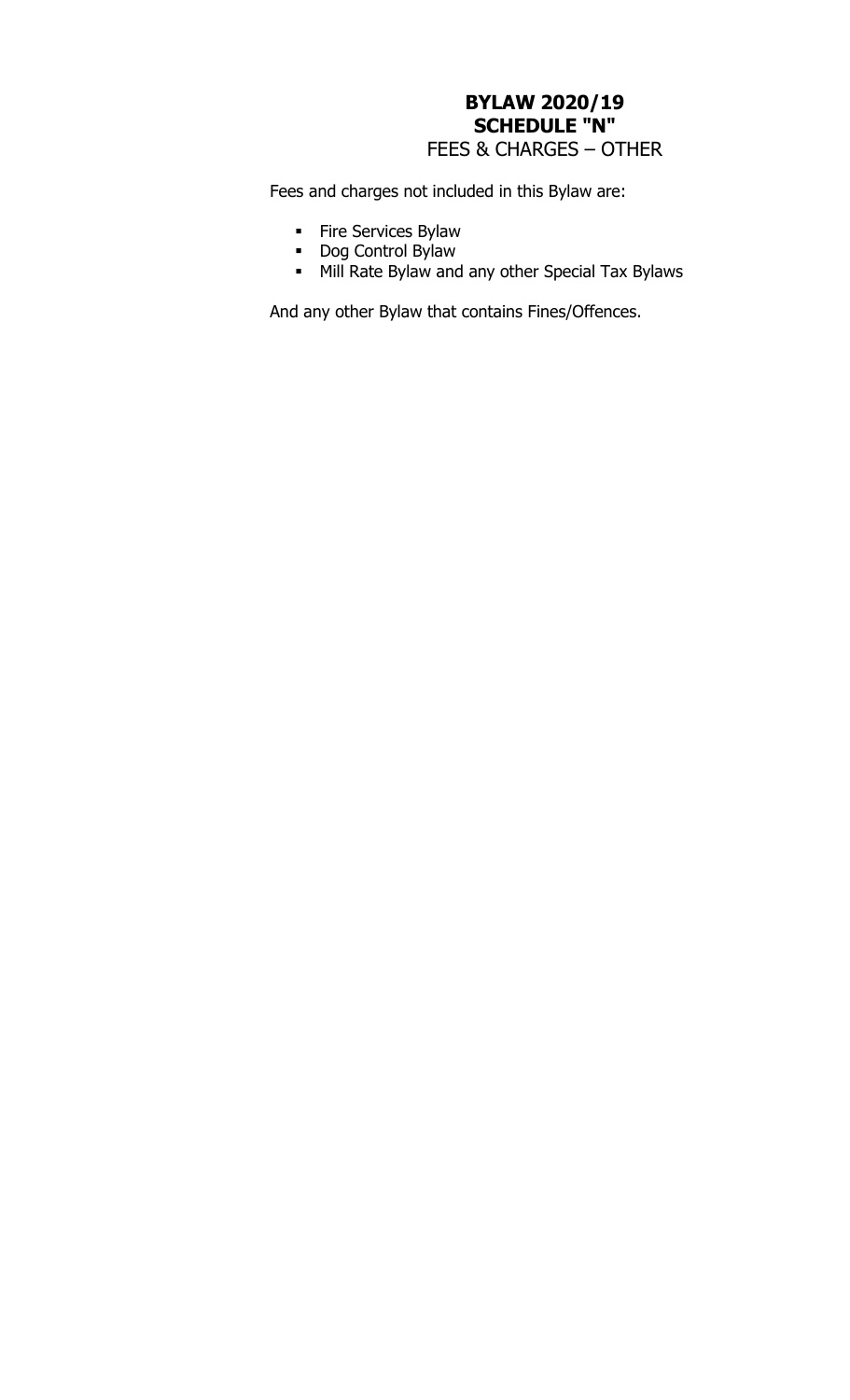# **BYLAW 2020/19 SCHEDULE "N"**  FEES & CHARGES – OTHER

Fees and charges not included in this Bylaw are:

- Fire Services Bylaw
- **Dog Control Bylaw**
- **Mill Rate Bylaw and any other Special Tax Bylaws**

And any other Bylaw that contains Fines/Offences.